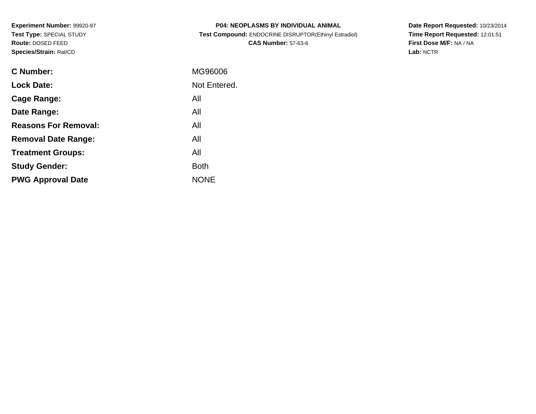**Experiment Number:** 99920-97**Test Type:** SPECIAL STUDY**Route:** DOSED FEED**Species/Strain:** Rat/CD

| <b>P04: NEOPLASMS BY INDIVIDUAL ANIMAL</b>            |
|-------------------------------------------------------|
| Test Compound: ENDOCRINE DISRUPTOR(Ethinyl Estradiol) |
| <b>CAS Number: 57-63-6</b>                            |

**Date Report Requested:** 10/23/2014 **Time Report Requested:** 12:01:51**First Dose M/F:** NA / NA**Lab:** NCTR

| C Number:                   | MG96006      |
|-----------------------------|--------------|
| <b>Lock Date:</b>           | Not Entered. |
| Cage Range:                 | All          |
| Date Range:                 | All          |
| <b>Reasons For Removal:</b> | All          |
| <b>Removal Date Range:</b>  | All          |
| <b>Treatment Groups:</b>    | All          |
| <b>Study Gender:</b>        | <b>Both</b>  |
| <b>PWG Approval Date</b>    | <b>NONE</b>  |
|                             |              |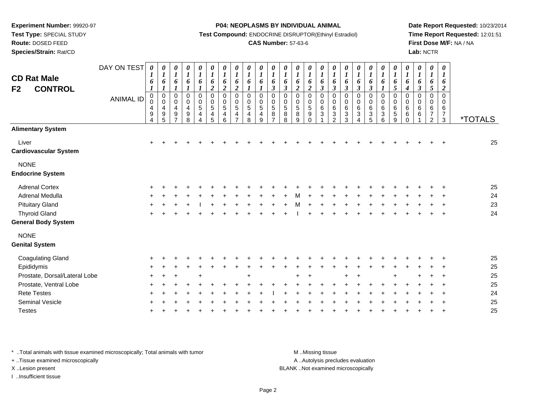**Test Type:** SPECIAL STUDY

**Route:** DOSED FEED

**Species/Strain:** Rat/CD

#### **P04: NEOPLASMS BY INDIVIDUAL ANIMAL**

**Test Compound:** ENDOCRINE DISRUPTOR(Ethinyl Estradiol)

### **CAS Number:** 57-63-6

**Date Report Requested:** 10/23/2014**Time Report Requested:** 12:01:51**First Dose M/F:** NA / NA**Lab:** NCTR

| <b>CD Rat Male</b><br><b>CONTROL</b><br>F <sub>2</sub> | DAY ON TEST<br><b>ANIMAL ID</b> | 0<br>1<br>6<br>$\boldsymbol{l}$<br>$\pmb{0}$<br>0<br>4<br>$\begin{array}{c} 9 \\ 4 \end{array}$ | 0<br>$\boldsymbol{l}$<br>6<br>$\boldsymbol{l}$<br>$\pmb{0}$<br>$\pmb{0}$<br>4<br>$\boldsymbol{9}$<br>$\overline{5}$ | $\boldsymbol{\theta}$<br>$\boldsymbol{l}$<br>6<br>$\boldsymbol{l}$<br>$\mathbf 0$<br>$\pmb{0}$<br>4<br>$\boldsymbol{9}$<br>$\overline{ }$ | 0<br>$\boldsymbol{l}$<br>6<br>$\boldsymbol{l}$<br>$\pmb{0}$<br>$\mathbf 0$<br>4<br>$\boldsymbol{9}$<br>8 | $\pmb{\theta}$<br>$\boldsymbol{l}$<br>6<br>$\boldsymbol{l}$<br>$\pmb{0}$<br>$\pmb{0}$<br>$\,$ 5 $\,$<br>$\overline{4}$<br>4 | 0<br>$\boldsymbol{l}$<br>6<br>$\boldsymbol{2}$<br>$\boldsymbol{0}$<br>$\mathbf 0$<br>$\sqrt{5}$<br>4<br>5 | 0<br>$\boldsymbol{l}$<br>6<br>$\boldsymbol{2}$<br>$\mathbf 0$<br>$\pmb{0}$<br>$\sqrt{5}$<br>4<br>6 | 0<br>$\boldsymbol{l}$<br>6<br>$\boldsymbol{2}$<br>$\mathbf 0$<br>0<br>5<br>4<br>$\overline{ }$ | $\pmb{\theta}$<br>$\boldsymbol{l}$<br>6<br>$\boldsymbol{l}$<br>0<br>0<br>$\sqrt{5}$<br>4<br>8 | $\pmb{\theta}$<br>$\boldsymbol{l}$<br>6<br>$\boldsymbol{l}$<br>0<br>0<br>$\overline{5}$<br>4<br>9 | 0<br>$\boldsymbol{l}$<br>6<br>$\boldsymbol{\beta}$<br>$\mathbf 0$<br>$\pmb{0}$<br>$\overline{5}$<br>$\bf 8$<br>$\overline{7}$ | $\pmb{\theta}$<br>$\boldsymbol{l}$<br>6<br>$\mathfrak{z}$<br>0<br>$\mathbf 0$<br>$\sqrt{5}$<br>$\bf 8$<br>$\overline{8}$ | 0<br>$\boldsymbol{l}$<br>6<br>$\boldsymbol{2}$<br>$\pmb{0}$<br>$\pmb{0}$<br>$\,$ 5 $\,$<br>$\bf 8$<br>$\overline{9}$ | $\pmb{\theta}$<br>$\boldsymbol{l}$<br>6<br>$\boldsymbol{2}$<br>$\pmb{0}$<br>$\pmb{0}$<br>5<br>$\boldsymbol{9}$<br>$\Omega$ | $\pmb{\theta}$<br>$\boldsymbol{l}$<br>6<br>$\boldsymbol{\beta}$<br>$\mathbf 0$<br>$\pmb{0}$<br>$\,6\,$<br>$\sqrt{3}$ | $\boldsymbol{\theta}$<br>$\boldsymbol{l}$<br>6<br>$\boldsymbol{\beta}$<br>$\mathbf 0$<br>0<br>$\,6$<br>$\mathbf 3$<br>2 | 0<br>$\boldsymbol{l}$<br>6<br>$\boldsymbol{\beta}$<br>0<br>0<br>6<br>3<br>3 | 0<br>$\boldsymbol{l}$<br>6<br>$\boldsymbol{\beta}$<br>0<br>0<br>$\,6$<br>$\sqrt{3}$ | 0<br>$\boldsymbol{l}$<br>6<br>$\boldsymbol{\beta}$<br>0<br>0<br>$\,6\,$<br>3<br>$\overline{5}$ | $\pmb{\theta}$<br>$\boldsymbol{l}$<br>6<br>$\boldsymbol{l}$<br>0<br>0<br>$\,6\,$<br>$\sqrt{3}$<br>$6\phantom{a}$ | 0<br>$\boldsymbol{l}$<br>6<br>$\mathfrak{s}$<br>$\mathbf 0$<br>0<br>$\,6\,$<br>5<br>9 | 0<br>$\boldsymbol{l}$<br>6<br>$\boldsymbol{4}$<br>$\mathbf 0$<br>0<br>6<br>6<br>$\Omega$ | 0<br>$\boldsymbol{l}$<br>6<br>$\boldsymbol{\beta}$<br>0<br>0<br>6<br>$6\phantom{1}6$ | $\pmb{\theta}$<br>$\boldsymbol{l}$<br>6<br>$\sqrt{5}$<br>$\mathbf 0$<br>0<br>6<br>$\boldsymbol{7}$<br>$\overline{2}$ | $\pmb{\theta}$<br>$\bm{l}$<br>6<br>$\boldsymbol{2}$<br>$\mathbf 0$<br>$\Omega$<br>6<br>$\boldsymbol{7}$<br>$\mathbf{3}$ | <i><b>*TOTALS</b></i> |
|--------------------------------------------------------|---------------------------------|-------------------------------------------------------------------------------------------------|---------------------------------------------------------------------------------------------------------------------|-------------------------------------------------------------------------------------------------------------------------------------------|----------------------------------------------------------------------------------------------------------|-----------------------------------------------------------------------------------------------------------------------------|-----------------------------------------------------------------------------------------------------------|----------------------------------------------------------------------------------------------------|------------------------------------------------------------------------------------------------|-----------------------------------------------------------------------------------------------|---------------------------------------------------------------------------------------------------|-------------------------------------------------------------------------------------------------------------------------------|--------------------------------------------------------------------------------------------------------------------------|----------------------------------------------------------------------------------------------------------------------|----------------------------------------------------------------------------------------------------------------------------|----------------------------------------------------------------------------------------------------------------------|-------------------------------------------------------------------------------------------------------------------------|-----------------------------------------------------------------------------|-------------------------------------------------------------------------------------|------------------------------------------------------------------------------------------------|------------------------------------------------------------------------------------------------------------------|---------------------------------------------------------------------------------------|------------------------------------------------------------------------------------------|--------------------------------------------------------------------------------------|----------------------------------------------------------------------------------------------------------------------|-------------------------------------------------------------------------------------------------------------------------|-----------------------|
| <b>Alimentary System</b>                               |                                 |                                                                                                 |                                                                                                                     |                                                                                                                                           |                                                                                                          |                                                                                                                             |                                                                                                           |                                                                                                    |                                                                                                |                                                                                               |                                                                                                   |                                                                                                                               |                                                                                                                          |                                                                                                                      |                                                                                                                            |                                                                                                                      |                                                                                                                         |                                                                             |                                                                                     |                                                                                                |                                                                                                                  |                                                                                       |                                                                                          |                                                                                      |                                                                                                                      |                                                                                                                         |                       |
| Liver<br><b>Cardiovascular System</b>                  |                                 | ÷                                                                                               |                                                                                                                     |                                                                                                                                           |                                                                                                          |                                                                                                                             |                                                                                                           |                                                                                                    |                                                                                                |                                                                                               |                                                                                                   |                                                                                                                               |                                                                                                                          |                                                                                                                      |                                                                                                                            |                                                                                                                      |                                                                                                                         |                                                                             |                                                                                     |                                                                                                |                                                                                                                  |                                                                                       |                                                                                          |                                                                                      |                                                                                                                      |                                                                                                                         | 25                    |
| <b>NONE</b><br><b>Endocrine System</b>                 |                                 |                                                                                                 |                                                                                                                     |                                                                                                                                           |                                                                                                          |                                                                                                                             |                                                                                                           |                                                                                                    |                                                                                                |                                                                                               |                                                                                                   |                                                                                                                               |                                                                                                                          |                                                                                                                      |                                                                                                                            |                                                                                                                      |                                                                                                                         |                                                                             |                                                                                     |                                                                                                |                                                                                                                  |                                                                                       |                                                                                          |                                                                                      |                                                                                                                      |                                                                                                                         |                       |
| <b>Adrenal Cortex</b>                                  |                                 |                                                                                                 |                                                                                                                     |                                                                                                                                           |                                                                                                          |                                                                                                                             |                                                                                                           |                                                                                                    |                                                                                                |                                                                                               |                                                                                                   |                                                                                                                               |                                                                                                                          |                                                                                                                      |                                                                                                                            |                                                                                                                      |                                                                                                                         |                                                                             |                                                                                     |                                                                                                |                                                                                                                  |                                                                                       |                                                                                          |                                                                                      |                                                                                                                      |                                                                                                                         | 25                    |
| Adrenal Medulla                                        |                                 |                                                                                                 |                                                                                                                     |                                                                                                                                           |                                                                                                          |                                                                                                                             |                                                                                                           |                                                                                                    |                                                                                                |                                                                                               |                                                                                                   |                                                                                                                               |                                                                                                                          |                                                                                                                      |                                                                                                                            |                                                                                                                      |                                                                                                                         |                                                                             |                                                                                     |                                                                                                |                                                                                                                  |                                                                                       |                                                                                          |                                                                                      |                                                                                                                      |                                                                                                                         | 24                    |
| <b>Pituitary Gland</b>                                 |                                 |                                                                                                 |                                                                                                                     |                                                                                                                                           |                                                                                                          |                                                                                                                             |                                                                                                           |                                                                                                    |                                                                                                |                                                                                               |                                                                                                   |                                                                                                                               |                                                                                                                          |                                                                                                                      |                                                                                                                            |                                                                                                                      |                                                                                                                         |                                                                             |                                                                                     |                                                                                                |                                                                                                                  |                                                                                       |                                                                                          |                                                                                      |                                                                                                                      |                                                                                                                         | 23                    |
| <b>Thyroid Gland</b>                                   |                                 |                                                                                                 |                                                                                                                     |                                                                                                                                           |                                                                                                          |                                                                                                                             |                                                                                                           |                                                                                                    |                                                                                                |                                                                                               |                                                                                                   |                                                                                                                               |                                                                                                                          |                                                                                                                      |                                                                                                                            |                                                                                                                      |                                                                                                                         |                                                                             |                                                                                     |                                                                                                |                                                                                                                  |                                                                                       |                                                                                          |                                                                                      |                                                                                                                      |                                                                                                                         | 24                    |
| <b>General Body System</b>                             |                                 |                                                                                                 |                                                                                                                     |                                                                                                                                           |                                                                                                          |                                                                                                                             |                                                                                                           |                                                                                                    |                                                                                                |                                                                                               |                                                                                                   |                                                                                                                               |                                                                                                                          |                                                                                                                      |                                                                                                                            |                                                                                                                      |                                                                                                                         |                                                                             |                                                                                     |                                                                                                |                                                                                                                  |                                                                                       |                                                                                          |                                                                                      |                                                                                                                      |                                                                                                                         |                       |
| <b>NONE</b><br><b>Genital System</b>                   |                                 |                                                                                                 |                                                                                                                     |                                                                                                                                           |                                                                                                          |                                                                                                                             |                                                                                                           |                                                                                                    |                                                                                                |                                                                                               |                                                                                                   |                                                                                                                               |                                                                                                                          |                                                                                                                      |                                                                                                                            |                                                                                                                      |                                                                                                                         |                                                                             |                                                                                     |                                                                                                |                                                                                                                  |                                                                                       |                                                                                          |                                                                                      |                                                                                                                      |                                                                                                                         |                       |
| <b>Coagulating Gland</b>                               |                                 |                                                                                                 |                                                                                                                     |                                                                                                                                           |                                                                                                          |                                                                                                                             |                                                                                                           |                                                                                                    |                                                                                                |                                                                                               |                                                                                                   |                                                                                                                               |                                                                                                                          |                                                                                                                      |                                                                                                                            |                                                                                                                      |                                                                                                                         |                                                                             |                                                                                     |                                                                                                |                                                                                                                  |                                                                                       |                                                                                          |                                                                                      |                                                                                                                      |                                                                                                                         | 25                    |
| Epididymis                                             |                                 |                                                                                                 |                                                                                                                     |                                                                                                                                           |                                                                                                          |                                                                                                                             |                                                                                                           |                                                                                                    |                                                                                                |                                                                                               |                                                                                                   |                                                                                                                               |                                                                                                                          |                                                                                                                      |                                                                                                                            |                                                                                                                      |                                                                                                                         |                                                                             |                                                                                     |                                                                                                |                                                                                                                  |                                                                                       |                                                                                          |                                                                                      |                                                                                                                      |                                                                                                                         | 25                    |
| Prostate, Dorsal/Lateral Lobe                          |                                 |                                                                                                 |                                                                                                                     |                                                                                                                                           |                                                                                                          |                                                                                                                             |                                                                                                           |                                                                                                    |                                                                                                |                                                                                               |                                                                                                   |                                                                                                                               |                                                                                                                          |                                                                                                                      |                                                                                                                            |                                                                                                                      |                                                                                                                         |                                                                             |                                                                                     |                                                                                                |                                                                                                                  |                                                                                       |                                                                                          |                                                                                      |                                                                                                                      |                                                                                                                         | 25                    |
| Prostate, Ventral Lobe                                 |                                 |                                                                                                 |                                                                                                                     |                                                                                                                                           |                                                                                                          |                                                                                                                             |                                                                                                           |                                                                                                    |                                                                                                |                                                                                               |                                                                                                   |                                                                                                                               |                                                                                                                          |                                                                                                                      |                                                                                                                            |                                                                                                                      |                                                                                                                         |                                                                             |                                                                                     |                                                                                                |                                                                                                                  |                                                                                       |                                                                                          |                                                                                      |                                                                                                                      |                                                                                                                         | 25                    |
| <b>Rete Testes</b>                                     |                                 |                                                                                                 |                                                                                                                     |                                                                                                                                           |                                                                                                          |                                                                                                                             |                                                                                                           |                                                                                                    |                                                                                                |                                                                                               |                                                                                                   |                                                                                                                               |                                                                                                                          |                                                                                                                      |                                                                                                                            |                                                                                                                      |                                                                                                                         |                                                                             |                                                                                     |                                                                                                |                                                                                                                  |                                                                                       |                                                                                          |                                                                                      |                                                                                                                      |                                                                                                                         | 24                    |
| <b>Seminal Vesicle</b>                                 |                                 |                                                                                                 |                                                                                                                     |                                                                                                                                           |                                                                                                          |                                                                                                                             |                                                                                                           |                                                                                                    |                                                                                                |                                                                                               |                                                                                                   |                                                                                                                               |                                                                                                                          |                                                                                                                      |                                                                                                                            |                                                                                                                      |                                                                                                                         |                                                                             |                                                                                     |                                                                                                |                                                                                                                  |                                                                                       |                                                                                          |                                                                                      |                                                                                                                      |                                                                                                                         | 25                    |
| <b>Testes</b>                                          |                                 |                                                                                                 |                                                                                                                     |                                                                                                                                           |                                                                                                          |                                                                                                                             |                                                                                                           |                                                                                                    |                                                                                                |                                                                                               |                                                                                                   |                                                                                                                               |                                                                                                                          |                                                                                                                      |                                                                                                                            |                                                                                                                      |                                                                                                                         |                                                                             |                                                                                     |                                                                                                |                                                                                                                  |                                                                                       |                                                                                          |                                                                                      |                                                                                                                      |                                                                                                                         | 25                    |

\* ..Total animals with tissue examined microscopically; Total animals with tumor **M** . Missing tissue M ..Missing tissue

+ ..Tissue examined microscopically

I ..Insufficient tissue

A ..Autolysis precludes evaluation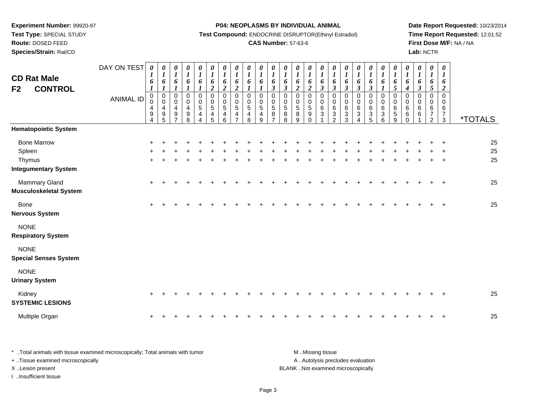**Test Type:** SPECIAL STUDY

# **Route:** DOSED FEED

**Species/Strain:** Rat/CD

### **P04: NEOPLASMS BY INDIVIDUAL ANIMAL**

**Test Compound:** ENDOCRINE DISRUPTOR(Ethinyl Estradiol)

# **CAS Number:** 57-63-6

**Date Report Requested:** 10/23/2014 **Time Report Requested:** 12:01:52**First Dose M/F:** NA / NA**Lab:** NCTR

| <b>CD Rat Male</b><br><b>CONTROL</b><br>F <sub>2</sub>                | DAY ON TEST<br><b>ANIMAL ID</b> | 0<br>$\boldsymbol{l}$<br>6<br>$\boldsymbol{l}$<br>$\mathbf 0$<br>0<br>4<br>$\boldsymbol{9}$<br>$\overline{\mathbf{4}}$ | 0<br>$\boldsymbol{l}$<br>6<br>$\boldsymbol{l}$<br>$\mathbf 0$<br>$\pmb{0}$<br>$\overline{\mathbf{4}}$<br>$\begin{array}{c} 9 \\ 5 \end{array}$ | 0<br>$\boldsymbol{l}$<br>6<br>$\boldsymbol{l}$<br>$\pmb{0}$<br>$\mathbf 0$<br>4<br>9<br>$\overline{7}$ | $\begin{matrix} 0 \\ 1 \end{matrix}$<br>6<br>$\boldsymbol{l}$<br>$\pmb{0}$<br>$\pmb{0}$<br>$\overline{4}$<br>$\frac{9}{8}$ | $\frac{\theta}{I}$<br>$\boldsymbol{6}$<br>$\boldsymbol{l}$<br>$\,0\,$<br>$\pmb{0}$<br>$\sqrt{5}$<br>$\overline{\mathbf{4}}$<br>$\overline{\mathbf{A}}$ | 0<br>$\boldsymbol{l}$<br>6<br>$\overline{a}$<br>0<br>$\pmb{0}$<br>$\sqrt{5}$<br>$\begin{array}{c} 4 \\ 5 \end{array}$ | 0<br>$\boldsymbol{l}$<br>6<br>$\boldsymbol{2}$<br>$\mathbf 0$<br>$\pmb{0}$<br>5<br>4<br>6 | 0<br>$\boldsymbol{l}$<br>6<br>$\overline{2}$<br>$\mathbf 0$<br>$\mathbf 0$<br>5<br>4<br>$\overline{ }$ | 0<br>$\boldsymbol{l}$<br>6<br>$\boldsymbol{I}$<br>$\mathbf 0$<br>$\mathbf 0$<br>$\sqrt{5}$<br>$\frac{4}{8}$ | 0<br>$\boldsymbol{l}$<br>6<br>$\boldsymbol{l}$<br>$\mathbf 0$<br>$\mathbf 0$<br>5<br>4<br>9 | $\begin{matrix} 0 \\ 1 \end{matrix}$<br>6<br>$\mathfrak{z}$<br>0<br>$\pmb{0}$<br>$\,$ 5 $\,$<br>$\bf 8$<br>$\overline{7}$ | $\boldsymbol{\theta}$<br>$\boldsymbol{l}$<br>6<br>$\boldsymbol{\beta}$<br>0<br>$\pmb{0}$<br>$\sqrt{5}$<br>$_{8}^8$ | 0<br>$\boldsymbol{l}$<br>6<br>$\overline{2}$<br>0<br>$\pmb{0}$<br>$\sqrt{5}$<br>$^8_9$ | 0<br>$\boldsymbol{l}$<br>6<br>$\boldsymbol{2}$<br>$\mathbf 0$<br>$\mathbf 0$<br>$\sqrt{5}$<br>9<br>$\mathbf 0$ | 0<br>$\boldsymbol{l}$<br>6<br>$\boldsymbol{\beta}$<br>0<br>0<br>6<br>$\sqrt{3}$ | 0<br>$\boldsymbol{l}$<br>6<br>$\mathfrak{z}$<br>$\mathbf 0$<br>$\mathbf 0$<br>$\,6$<br>$\frac{3}{2}$ | 0<br>$\boldsymbol{l}$<br>6<br>$\mathbf{3}$<br>$\mathbf 0$<br>0<br>6<br>$\ensuremath{\mathsf{3}}$<br>3 | $\begin{matrix} 0 \\ 1 \end{matrix}$<br>6<br>$\boldsymbol{\beta}$<br>0<br>$\pmb{0}$<br>$\,6\,$<br>$\ensuremath{\mathsf{3}}$<br>$\overline{4}$ | $\boldsymbol{\theta}$<br>$\boldsymbol{l}$<br>$\pmb{6}$<br>$\mathfrak{z}$<br>0<br>$\pmb{0}$<br>$\,6\,$<br>$\frac{3}{5}$ | 0<br>$\boldsymbol{l}$<br>6<br>$\boldsymbol{l}$<br>0<br>$\mathsf{O}\xspace$<br>6<br>$\frac{3}{6}$ | 0<br>$\boldsymbol{l}$<br>$\pmb{6}$<br>$\mathfrak{s}$<br>$\mathbf 0$<br>0<br>6<br>5<br>9 | 0<br>$\boldsymbol{l}$<br>6<br>$\boldsymbol{4}$<br>0<br>$\mathbf 0$<br>6<br>6<br>$\Omega$ | $\pmb{\theta}$<br>$\boldsymbol{l}$<br>6<br>$\mathfrak{z}$<br>$\mathbf 0$<br>$\Omega$<br>6<br>6 | $\pmb{\theta}$<br>$\boldsymbol{l}$<br>6<br>$\sqrt{5}$<br>$\mathbf 0$<br>0<br>6<br>$\overline{7}$<br>$\overline{2}$ | $\pmb{\theta}$<br>$\boldsymbol{l}$<br>6<br>$\boldsymbol{2}$<br>$\pmb{0}$<br>$\pmb{0}$<br>6<br>$\frac{7}{3}$ | <i><b>*TOTALS</b></i> |
|-----------------------------------------------------------------------|---------------------------------|------------------------------------------------------------------------------------------------------------------------|------------------------------------------------------------------------------------------------------------------------------------------------|--------------------------------------------------------------------------------------------------------|----------------------------------------------------------------------------------------------------------------------------|--------------------------------------------------------------------------------------------------------------------------------------------------------|-----------------------------------------------------------------------------------------------------------------------|-------------------------------------------------------------------------------------------|--------------------------------------------------------------------------------------------------------|-------------------------------------------------------------------------------------------------------------|---------------------------------------------------------------------------------------------|---------------------------------------------------------------------------------------------------------------------------|--------------------------------------------------------------------------------------------------------------------|----------------------------------------------------------------------------------------|----------------------------------------------------------------------------------------------------------------|---------------------------------------------------------------------------------|------------------------------------------------------------------------------------------------------|-------------------------------------------------------------------------------------------------------|-----------------------------------------------------------------------------------------------------------------------------------------------|------------------------------------------------------------------------------------------------------------------------|--------------------------------------------------------------------------------------------------|-----------------------------------------------------------------------------------------|------------------------------------------------------------------------------------------|------------------------------------------------------------------------------------------------|--------------------------------------------------------------------------------------------------------------------|-------------------------------------------------------------------------------------------------------------|-----------------------|
| <b>Hematopoietic System</b>                                           |                                 |                                                                                                                        |                                                                                                                                                |                                                                                                        |                                                                                                                            |                                                                                                                                                        |                                                                                                                       |                                                                                           |                                                                                                        |                                                                                                             |                                                                                             |                                                                                                                           |                                                                                                                    |                                                                                        |                                                                                                                |                                                                                 |                                                                                                      |                                                                                                       |                                                                                                                                               |                                                                                                                        |                                                                                                  |                                                                                         |                                                                                          |                                                                                                |                                                                                                                    |                                                                                                             |                       |
| <b>Bone Marrow</b><br>Spleen<br>Thymus<br><b>Integumentary System</b> |                                 | ÷                                                                                                                      |                                                                                                                                                |                                                                                                        |                                                                                                                            |                                                                                                                                                        |                                                                                                                       |                                                                                           |                                                                                                        |                                                                                                             |                                                                                             |                                                                                                                           |                                                                                                                    |                                                                                        |                                                                                                                |                                                                                 |                                                                                                      |                                                                                                       |                                                                                                                                               |                                                                                                                        |                                                                                                  |                                                                                         |                                                                                          |                                                                                                |                                                                                                                    | $\ddot{}$                                                                                                   | 25<br>25<br>25        |
| Mammary Gland<br><b>Musculoskeletal System</b>                        |                                 | $\ddot{}$                                                                                                              |                                                                                                                                                |                                                                                                        |                                                                                                                            |                                                                                                                                                        |                                                                                                                       |                                                                                           |                                                                                                        |                                                                                                             |                                                                                             |                                                                                                                           |                                                                                                                    |                                                                                        |                                                                                                                |                                                                                 |                                                                                                      |                                                                                                       |                                                                                                                                               |                                                                                                                        |                                                                                                  |                                                                                         |                                                                                          |                                                                                                |                                                                                                                    | $\ddot{}$                                                                                                   | 25                    |
| <b>Bone</b><br><b>Nervous System</b>                                  |                                 |                                                                                                                        |                                                                                                                                                |                                                                                                        |                                                                                                                            |                                                                                                                                                        |                                                                                                                       |                                                                                           |                                                                                                        |                                                                                                             |                                                                                             |                                                                                                                           |                                                                                                                    |                                                                                        |                                                                                                                |                                                                                 |                                                                                                      |                                                                                                       |                                                                                                                                               |                                                                                                                        |                                                                                                  |                                                                                         |                                                                                          |                                                                                                |                                                                                                                    | $\ddot{}$                                                                                                   | 25                    |
| <b>NONE</b><br><b>Respiratory System</b>                              |                                 |                                                                                                                        |                                                                                                                                                |                                                                                                        |                                                                                                                            |                                                                                                                                                        |                                                                                                                       |                                                                                           |                                                                                                        |                                                                                                             |                                                                                             |                                                                                                                           |                                                                                                                    |                                                                                        |                                                                                                                |                                                                                 |                                                                                                      |                                                                                                       |                                                                                                                                               |                                                                                                                        |                                                                                                  |                                                                                         |                                                                                          |                                                                                                |                                                                                                                    |                                                                                                             |                       |
| <b>NONE</b><br><b>Special Senses System</b>                           |                                 |                                                                                                                        |                                                                                                                                                |                                                                                                        |                                                                                                                            |                                                                                                                                                        |                                                                                                                       |                                                                                           |                                                                                                        |                                                                                                             |                                                                                             |                                                                                                                           |                                                                                                                    |                                                                                        |                                                                                                                |                                                                                 |                                                                                                      |                                                                                                       |                                                                                                                                               |                                                                                                                        |                                                                                                  |                                                                                         |                                                                                          |                                                                                                |                                                                                                                    |                                                                                                             |                       |
| <b>NONE</b><br><b>Urinary System</b>                                  |                                 |                                                                                                                        |                                                                                                                                                |                                                                                                        |                                                                                                                            |                                                                                                                                                        |                                                                                                                       |                                                                                           |                                                                                                        |                                                                                                             |                                                                                             |                                                                                                                           |                                                                                                                    |                                                                                        |                                                                                                                |                                                                                 |                                                                                                      |                                                                                                       |                                                                                                                                               |                                                                                                                        |                                                                                                  |                                                                                         |                                                                                          |                                                                                                |                                                                                                                    |                                                                                                             |                       |
| Kidney<br><b>SYSTEMIC LESIONS</b>                                     |                                 | $\ddot{}$                                                                                                              |                                                                                                                                                |                                                                                                        |                                                                                                                            |                                                                                                                                                        |                                                                                                                       |                                                                                           |                                                                                                        |                                                                                                             |                                                                                             |                                                                                                                           |                                                                                                                    |                                                                                        |                                                                                                                |                                                                                 |                                                                                                      |                                                                                                       |                                                                                                                                               |                                                                                                                        |                                                                                                  |                                                                                         |                                                                                          |                                                                                                |                                                                                                                    | $\mathbf +$                                                                                                 | 25                    |
| Multiple Organ                                                        |                                 | +                                                                                                                      |                                                                                                                                                |                                                                                                        |                                                                                                                            |                                                                                                                                                        |                                                                                                                       |                                                                                           |                                                                                                        |                                                                                                             |                                                                                             |                                                                                                                           |                                                                                                                    |                                                                                        |                                                                                                                |                                                                                 |                                                                                                      |                                                                                                       |                                                                                                                                               |                                                                                                                        |                                                                                                  |                                                                                         |                                                                                          |                                                                                                |                                                                                                                    | $\overline{ }$                                                                                              | 25                    |

| Total animals with tissue examined microscopically; Total animals with tumor | M Missing tissue                   |
|------------------------------------------------------------------------------|------------------------------------|
| + Tissue examined microscopically                                            | A Autolysis precludes evaluation   |
| X Lesion present                                                             | BLANK Not examined microscopically |
| …Insufficient tissue                                                         |                                    |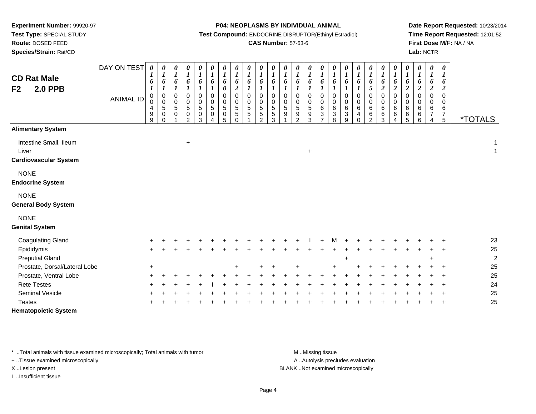**Route:** DOSED FEED

**Species/Strain:** Rat/CD

#### **P04: NEOPLASMS BY INDIVIDUAL ANIMAL**

**Test Compound:** ENDOCRINE DISRUPTOR(Ethinyl Estradiol)

### **CAS Number:** 57-63-6

**Date Report Requested:** 10/23/2014**Time Report Requested:** 12:01:52**First Dose M/F:** NA / NA**Lab:** NCTR

| <b>CD Rat Male</b><br><b>2.0 PPB</b><br>F <sub>2</sub>          | DAY ON TEST<br><b>ANIMAL ID</b> | 0<br>1<br>6<br>0<br>$\pmb{0}$<br>$\overline{4}$<br>9<br>$9\,$ | 0<br>$\boldsymbol{l}$<br>6<br>$\boldsymbol{l}$<br>$\pmb{0}$<br>$\pmb{0}$<br>$\sqrt{5}$<br>$\mathbf 0$<br>$\mathbf 0$ | 0<br>$\boldsymbol{l}$<br>6<br>1<br>$\mathbf 0$<br>$\mathbf 0$<br>5<br>$\Omega$ | 0<br>$\boldsymbol{l}$<br>6<br>$\pmb{0}$<br>$\pmb{0}$<br>$\sqrt{5}$<br>$\pmb{0}$<br>$\mathfrak{p}$ | $\boldsymbol{\theta}$<br>$\boldsymbol{l}$<br>6<br>0<br>$\mathbf 0$<br>5<br>$\pmb{0}$<br>3 | $\boldsymbol{\theta}$<br>$\boldsymbol{l}$<br>6<br>$\pmb{0}$<br>$\pmb{0}$<br>$5\phantom{.0}$<br>$\pmb{0}$<br>4 | 0<br>$\boldsymbol{l}$<br>6<br>0<br>$\pmb{0}$<br>$\pmb{0}$<br>$\sqrt{5}$<br>$\pmb{0}$<br>5 | 0<br>$\boldsymbol{l}$<br>6<br>$\boldsymbol{2}$<br>$\mathbf 0$<br>$\pmb{0}$<br>$\sqrt{5}$<br>$\sqrt{5}$<br>$\mathbf 0$ | $\boldsymbol{\theta}$<br>$\boldsymbol{l}$<br>6<br>$\mathbf 0$<br>0<br>$\sqrt{5}$<br>5 | 0<br>$\boldsymbol{l}$<br>6<br>$\mathbf 0$<br>0<br>5<br>$\sqrt{5}$<br>$\mathcal{P}$ | $\boldsymbol{\theta}$<br>6<br>$\Omega$<br>$\mathbf 0$<br>$\sqrt{5}$<br>$\sqrt{5}$<br>3 | 0<br>$\boldsymbol{l}$<br>6<br>$\mathbf 0$<br>0<br>5<br>9 | 0<br>$\boldsymbol{l}$<br>6<br>0<br>0<br>$\sqrt{5}$<br>9<br>$\overline{2}$ | $\pmb{\theta}$<br>$\boldsymbol{l}$<br>6<br>$\boldsymbol{l}$<br>$\mathbf 0$<br>$\mathbf 0$<br>5<br>$\boldsymbol{9}$<br>$\mathbf{3}$ | 0<br>$\boldsymbol{l}$<br>6<br>$\mathbf 0$<br>$\pmb{0}$<br>$\,6\,$<br>$\sqrt{3}$<br>$\overline{ }$ | 0<br>$\boldsymbol{l}$<br>6<br>$\mathbf 0$<br>0<br>$\,6\,$<br>3<br>8 | 0<br>$\boldsymbol{l}$<br>6<br>$\pmb{0}$<br>$\mathbf 0$<br>6<br>$\mathbf{3}$<br>$\boldsymbol{9}$ | $\boldsymbol{\theta}$<br>$\boldsymbol{l}$<br>6<br>1<br>$\mathbf 0$<br>$\mathbf 0$<br>$\,6\,$<br>4<br>$\Omega$ | 0<br>$\boldsymbol{l}$<br>6<br>5<br>$\mathbf 0$<br>$\pmb{0}$<br>6<br>$\,6\,$<br>2 | 0<br>$\boldsymbol{l}$<br>6<br>$\boldsymbol{2}$<br>0<br>$\pmb{0}$<br>$\,6\,$<br>$\,6\,$<br>$\sqrt{3}$ | 0<br>$\boldsymbol{I}$<br>6<br>$\boldsymbol{2}$<br>0<br>$\mathbf 0$<br>6<br>6<br>4 | 0<br>$\boldsymbol{l}$<br>6<br>$\boldsymbol{2}$<br>$\mathbf 0$<br>0<br>$\,6$<br>6<br>5 | 0<br>$\boldsymbol{l}$<br>6<br>$\boldsymbol{2}$<br>$\mathbf 0$<br>0<br>6<br>6<br>6 | $\boldsymbol{\theta}$<br>$\boldsymbol{l}$<br>6<br>$\boldsymbol{2}$<br>$\mathbf 0$<br>0<br>6<br>$\boldsymbol{7}$<br>$\overline{4}$ | $\boldsymbol{\theta}$<br>$\boldsymbol{l}$<br>6<br>$\boldsymbol{2}$<br>$\Omega$<br>$\Omega$<br>6<br>$\boldsymbol{7}$<br>$5\phantom{.0}$ | <i><b>*TOTALS</b></i>                   |
|-----------------------------------------------------------------|---------------------------------|---------------------------------------------------------------|----------------------------------------------------------------------------------------------------------------------|--------------------------------------------------------------------------------|---------------------------------------------------------------------------------------------------|-------------------------------------------------------------------------------------------|---------------------------------------------------------------------------------------------------------------|-------------------------------------------------------------------------------------------|-----------------------------------------------------------------------------------------------------------------------|---------------------------------------------------------------------------------------|------------------------------------------------------------------------------------|----------------------------------------------------------------------------------------|----------------------------------------------------------|---------------------------------------------------------------------------|------------------------------------------------------------------------------------------------------------------------------------|---------------------------------------------------------------------------------------------------|---------------------------------------------------------------------|-------------------------------------------------------------------------------------------------|---------------------------------------------------------------------------------------------------------------|----------------------------------------------------------------------------------|------------------------------------------------------------------------------------------------------|-----------------------------------------------------------------------------------|---------------------------------------------------------------------------------------|-----------------------------------------------------------------------------------|-----------------------------------------------------------------------------------------------------------------------------------|----------------------------------------------------------------------------------------------------------------------------------------|-----------------------------------------|
| <b>Alimentary System</b>                                        |                                 |                                                               |                                                                                                                      |                                                                                |                                                                                                   |                                                                                           |                                                                                                               |                                                                                           |                                                                                                                       |                                                                                       |                                                                                    |                                                                                        |                                                          |                                                                           |                                                                                                                                    |                                                                                                   |                                                                     |                                                                                                 |                                                                                                               |                                                                                  |                                                                                                      |                                                                                   |                                                                                       |                                                                                   |                                                                                                                                   |                                                                                                                                        |                                         |
| Intestine Small, Ileum<br>Liver<br><b>Cardiovascular System</b> |                                 |                                                               |                                                                                                                      |                                                                                | $\ddot{}$                                                                                         |                                                                                           |                                                                                                               |                                                                                           |                                                                                                                       |                                                                                       |                                                                                    |                                                                                        |                                                          |                                                                           | $\ddot{}$                                                                                                                          |                                                                                                   |                                                                     |                                                                                                 |                                                                                                               |                                                                                  |                                                                                                      |                                                                                   |                                                                                       |                                                                                   |                                                                                                                                   |                                                                                                                                        | $\overline{\mathbf{1}}$<br>$\mathbf{1}$ |
| <b>NONE</b><br><b>Endocrine System</b>                          |                                 |                                                               |                                                                                                                      |                                                                                |                                                                                                   |                                                                                           |                                                                                                               |                                                                                           |                                                                                                                       |                                                                                       |                                                                                    |                                                                                        |                                                          |                                                                           |                                                                                                                                    |                                                                                                   |                                                                     |                                                                                                 |                                                                                                               |                                                                                  |                                                                                                      |                                                                                   |                                                                                       |                                                                                   |                                                                                                                                   |                                                                                                                                        |                                         |
| <b>NONE</b><br><b>General Body System</b>                       |                                 |                                                               |                                                                                                                      |                                                                                |                                                                                                   |                                                                                           |                                                                                                               |                                                                                           |                                                                                                                       |                                                                                       |                                                                                    |                                                                                        |                                                          |                                                                           |                                                                                                                                    |                                                                                                   |                                                                     |                                                                                                 |                                                                                                               |                                                                                  |                                                                                                      |                                                                                   |                                                                                       |                                                                                   |                                                                                                                                   |                                                                                                                                        |                                         |
| <b>NONE</b><br><b>Genital System</b>                            |                                 |                                                               |                                                                                                                      |                                                                                |                                                                                                   |                                                                                           |                                                                                                               |                                                                                           |                                                                                                                       |                                                                                       |                                                                                    |                                                                                        |                                                          |                                                                           |                                                                                                                                    |                                                                                                   |                                                                     |                                                                                                 |                                                                                                               |                                                                                  |                                                                                                      |                                                                                   |                                                                                       |                                                                                   |                                                                                                                                   |                                                                                                                                        |                                         |
| <b>Coagulating Gland</b>                                        |                                 |                                                               |                                                                                                                      |                                                                                |                                                                                                   |                                                                                           |                                                                                                               |                                                                                           |                                                                                                                       |                                                                                       |                                                                                    |                                                                                        |                                                          |                                                                           |                                                                                                                                    |                                                                                                   |                                                                     |                                                                                                 |                                                                                                               |                                                                                  |                                                                                                      |                                                                                   |                                                                                       |                                                                                   |                                                                                                                                   |                                                                                                                                        | 23                                      |
| Epididymis                                                      |                                 |                                                               |                                                                                                                      |                                                                                |                                                                                                   |                                                                                           |                                                                                                               |                                                                                           |                                                                                                                       |                                                                                       |                                                                                    |                                                                                        |                                                          |                                                                           |                                                                                                                                    |                                                                                                   |                                                                     |                                                                                                 |                                                                                                               |                                                                                  |                                                                                                      |                                                                                   |                                                                                       |                                                                                   |                                                                                                                                   |                                                                                                                                        | 25                                      |
| <b>Preputial Gland</b>                                          |                                 |                                                               |                                                                                                                      |                                                                                |                                                                                                   |                                                                                           |                                                                                                               |                                                                                           |                                                                                                                       |                                                                                       |                                                                                    |                                                                                        |                                                          |                                                                           |                                                                                                                                    |                                                                                                   |                                                                     | $\pm$                                                                                           |                                                                                                               |                                                                                  |                                                                                                      |                                                                                   |                                                                                       |                                                                                   |                                                                                                                                   |                                                                                                                                        | $\boldsymbol{2}$                        |
| Prostate, Dorsal/Lateral Lobe                                   |                                 | $\ddot{}$                                                     |                                                                                                                      |                                                                                |                                                                                                   |                                                                                           |                                                                                                               |                                                                                           |                                                                                                                       |                                                                                       |                                                                                    |                                                                                        |                                                          |                                                                           |                                                                                                                                    |                                                                                                   |                                                                     |                                                                                                 |                                                                                                               |                                                                                  |                                                                                                      |                                                                                   |                                                                                       |                                                                                   |                                                                                                                                   |                                                                                                                                        | 25                                      |
| Prostate, Ventral Lobe                                          |                                 |                                                               |                                                                                                                      |                                                                                |                                                                                                   |                                                                                           |                                                                                                               |                                                                                           |                                                                                                                       |                                                                                       |                                                                                    |                                                                                        |                                                          |                                                                           |                                                                                                                                    |                                                                                                   |                                                                     |                                                                                                 |                                                                                                               |                                                                                  |                                                                                                      |                                                                                   |                                                                                       |                                                                                   |                                                                                                                                   |                                                                                                                                        | 25                                      |
| <b>Rete Testes</b>                                              |                                 |                                                               |                                                                                                                      |                                                                                |                                                                                                   |                                                                                           |                                                                                                               |                                                                                           |                                                                                                                       |                                                                                       |                                                                                    |                                                                                        |                                                          |                                                                           |                                                                                                                                    |                                                                                                   |                                                                     |                                                                                                 |                                                                                                               |                                                                                  |                                                                                                      |                                                                                   |                                                                                       |                                                                                   |                                                                                                                                   |                                                                                                                                        | 24                                      |
| Seminal Vesicle                                                 |                                 |                                                               |                                                                                                                      |                                                                                |                                                                                                   |                                                                                           |                                                                                                               |                                                                                           |                                                                                                                       |                                                                                       |                                                                                    |                                                                                        |                                                          |                                                                           |                                                                                                                                    |                                                                                                   |                                                                     |                                                                                                 |                                                                                                               |                                                                                  |                                                                                                      |                                                                                   |                                                                                       |                                                                                   |                                                                                                                                   |                                                                                                                                        | 25                                      |
| <b>Testes</b>                                                   |                                 |                                                               |                                                                                                                      |                                                                                |                                                                                                   |                                                                                           |                                                                                                               |                                                                                           |                                                                                                                       |                                                                                       |                                                                                    |                                                                                        |                                                          |                                                                           |                                                                                                                                    |                                                                                                   |                                                                     |                                                                                                 |                                                                                                               |                                                                                  |                                                                                                      |                                                                                   |                                                                                       |                                                                                   |                                                                                                                                   |                                                                                                                                        | 25                                      |
| <b>Hematopoietic System</b>                                     |                                 |                                                               |                                                                                                                      |                                                                                |                                                                                                   |                                                                                           |                                                                                                               |                                                                                           |                                                                                                                       |                                                                                       |                                                                                    |                                                                                        |                                                          |                                                                           |                                                                                                                                    |                                                                                                   |                                                                     |                                                                                                 |                                                                                                               |                                                                                  |                                                                                                      |                                                                                   |                                                                                       |                                                                                   |                                                                                                                                   |                                                                                                                                        |                                         |

\* ..Total animals with tissue examined microscopically; Total animals with tumor **M** . Missing tissue M ..Missing tissue

+ ..Tissue examined microscopically

I ..Insufficient tissue

A ..Autolysis precludes evaluation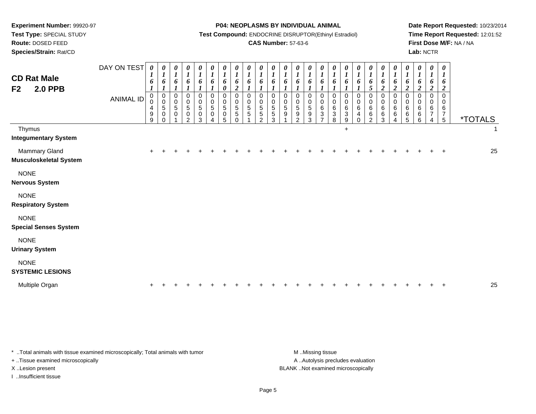**Route:** DOSED FEED

**Species/Strain:** Rat/CD

#### **P04: NEOPLASMS BY INDIVIDUAL ANIMAL**

**Test Compound:** ENDOCRINE DISRUPTOR(Ethinyl Estradiol)

### **CAS Number:** 57-63-6

**Date Report Requested:** 10/23/2014**Time Report Requested:** 12:01:52**First Dose M/F:** NA / NA**Lab:** NCTR

| <b>CD Rat Male</b><br><b>2.0 PPB</b><br>F <sub>2</sub> | DAY ON TEST<br><b>ANIMAL ID</b> | 0<br>$\boldsymbol{l}$<br>6<br>$\mathbf 0$<br>0<br>4<br>9<br>9 | 0<br>$\boldsymbol{l}$<br>6<br>$\pmb{0}$<br>$\pmb{0}$<br>$\sqrt{5}$<br>$\mathbf 0$<br>$\Omega$ | 0<br>$\boldsymbol{l}$<br>6<br>1<br>$\,0\,$<br>$\pmb{0}$<br>$\sqrt{5}$<br>$\mathbf 0$ | $\begin{array}{c} 0 \\ 1 \\ 6 \end{array}$<br>$\boldsymbol{l}$<br>$\,0\,$<br>$\begin{smallmatrix}0\0\5\end{smallmatrix}$<br>$\pmb{0}$<br>$\mathfrak{p}$ | $\frac{\theta}{I}$<br>6<br>$\pmb{0}$<br>$\begin{array}{c} 0 \\ 5 \end{array}$<br>$\pmb{0}$<br>3 | 0<br>$\boldsymbol{l}$<br>6<br>0<br>$\begin{array}{c} 0 \\ 5 \end{array}$<br>0 | 0<br>$\boldsymbol{l}$<br>6<br>$\boldsymbol{\theta}$<br>$\mathbf 0$<br>$\pmb{0}$<br>$\sqrt{5}$<br>0<br>5 | 0<br>$\boldsymbol{l}$<br>6<br>$\boldsymbol{2}$<br>$\mathbf 0$<br>0<br>5<br>5<br>0 | 0<br>$\boldsymbol{l}$<br>6<br>1<br>$\mathbf 0$<br>0<br>5<br>5 | 0<br>$\boldsymbol{l}$<br>6<br>$\mathbf 0$<br>0<br>5<br>5<br>$\mathcal{P}$ | $\boldsymbol{\theta}$<br>$\boldsymbol{l}$<br>6<br>0<br>$\begin{array}{c} 0 \\ 5 \end{array}$<br>$\overline{5}$<br>3 | $\frac{\theta}{I}$<br>6<br>0<br>0<br>$\overline{5}$<br>9 | $\frac{\boldsymbol{\theta}}{\boldsymbol{I}}$<br>6<br>0<br>$\begin{array}{c} 0 \\ 5 \end{array}$<br>$\boldsymbol{9}$<br>$\mathcal{P}$ | $\boldsymbol{\theta}$<br>$\boldsymbol{l}$<br>6<br>$\mathbf 0$<br>$\pmb{0}$<br>$\overline{5}$<br>$\boldsymbol{9}$<br>3 | 0<br>$\boldsymbol{l}$<br>6<br>0<br>0<br>$\,6\,$<br>3 | $\boldsymbol{\theta}$<br>$\boldsymbol{l}$<br>6<br>$\mathbf 0$<br>0<br>$\,6\,$<br>$\sqrt{3}$<br>8 | $\boldsymbol{l}$<br>6<br>1<br>$\mathbf 0$<br>0<br>6<br>3<br>9 | 0<br>$\boldsymbol{l}$<br>6<br>0<br>0<br>$\,6$<br>4<br>$\Omega$ | $\frac{\theta}{I}$<br>6<br>5<br>0<br>0<br>$6\phantom{a}$<br>6<br>$\overline{2}$ | 0<br>$\boldsymbol{l}$<br>6<br>$\overline{c}$<br>0<br>$\pmb{0}$<br>$\,6$<br>$\,6$<br>$\sqrt{3}$ | 0<br>$\boldsymbol{l}$<br>6<br>$\overline{c}$<br>$\pmb{0}$<br>$\mathbf 0$<br>6<br>6<br>4 | $\frac{\boldsymbol{0}}{\boldsymbol{1}}$<br>6<br>$\boldsymbol{2}$<br>$\,0\,$<br>$\pmb{0}$<br>6<br>6<br>5 | $\frac{\theta}{I}$<br>6<br>$\boldsymbol{2}$<br>$\mathbf 0$<br>0<br>6<br>$\,6\,$<br>6 | 0<br>$\boldsymbol{l}$<br>6<br>$\boldsymbol{2}$<br>0<br>0<br>6<br>7<br>4 | $\boldsymbol{\theta}$<br>$\boldsymbol{l}$<br>6<br>$\overline{2}$<br>$\mathbf 0$<br>$\mathbf 0$<br>$\,6$<br>$\overline{7}$<br>$\sqrt{5}$ | <i><b>*TOTALS</b></i> |              |
|--------------------------------------------------------|---------------------------------|---------------------------------------------------------------|-----------------------------------------------------------------------------------------------|--------------------------------------------------------------------------------------|---------------------------------------------------------------------------------------------------------------------------------------------------------|-------------------------------------------------------------------------------------------------|-------------------------------------------------------------------------------|---------------------------------------------------------------------------------------------------------|-----------------------------------------------------------------------------------|---------------------------------------------------------------|---------------------------------------------------------------------------|---------------------------------------------------------------------------------------------------------------------|----------------------------------------------------------|--------------------------------------------------------------------------------------------------------------------------------------|-----------------------------------------------------------------------------------------------------------------------|------------------------------------------------------|--------------------------------------------------------------------------------------------------|---------------------------------------------------------------|----------------------------------------------------------------|---------------------------------------------------------------------------------|------------------------------------------------------------------------------------------------|-----------------------------------------------------------------------------------------|---------------------------------------------------------------------------------------------------------|--------------------------------------------------------------------------------------|-------------------------------------------------------------------------|-----------------------------------------------------------------------------------------------------------------------------------------|-----------------------|--------------|
| Thymus<br><b>Integumentary System</b>                  |                                 |                                                               |                                                                                               |                                                                                      |                                                                                                                                                         |                                                                                                 |                                                                               |                                                                                                         |                                                                                   |                                                               |                                                                           |                                                                                                                     |                                                          |                                                                                                                                      |                                                                                                                       |                                                      |                                                                                                  | $+$                                                           |                                                                |                                                                                 |                                                                                                |                                                                                         |                                                                                                         |                                                                                      |                                                                         |                                                                                                                                         |                       | $\mathbf{1}$ |
| Mammary Gland<br><b>Musculoskeletal System</b>         |                                 | ÷                                                             |                                                                                               |                                                                                      |                                                                                                                                                         |                                                                                                 |                                                                               |                                                                                                         |                                                                                   |                                                               |                                                                           |                                                                                                                     |                                                          |                                                                                                                                      |                                                                                                                       |                                                      |                                                                                                  |                                                               |                                                                |                                                                                 |                                                                                                |                                                                                         |                                                                                                         |                                                                                      |                                                                         |                                                                                                                                         |                       | 25           |
| <b>NONE</b><br><b>Nervous System</b>                   |                                 |                                                               |                                                                                               |                                                                                      |                                                                                                                                                         |                                                                                                 |                                                                               |                                                                                                         |                                                                                   |                                                               |                                                                           |                                                                                                                     |                                                          |                                                                                                                                      |                                                                                                                       |                                                      |                                                                                                  |                                                               |                                                                |                                                                                 |                                                                                                |                                                                                         |                                                                                                         |                                                                                      |                                                                         |                                                                                                                                         |                       |              |
| <b>NONE</b><br><b>Respiratory System</b>               |                                 |                                                               |                                                                                               |                                                                                      |                                                                                                                                                         |                                                                                                 |                                                                               |                                                                                                         |                                                                                   |                                                               |                                                                           |                                                                                                                     |                                                          |                                                                                                                                      |                                                                                                                       |                                                      |                                                                                                  |                                                               |                                                                |                                                                                 |                                                                                                |                                                                                         |                                                                                                         |                                                                                      |                                                                         |                                                                                                                                         |                       |              |
| <b>NONE</b><br><b>Special Senses System</b>            |                                 |                                                               |                                                                                               |                                                                                      |                                                                                                                                                         |                                                                                                 |                                                                               |                                                                                                         |                                                                                   |                                                               |                                                                           |                                                                                                                     |                                                          |                                                                                                                                      |                                                                                                                       |                                                      |                                                                                                  |                                                               |                                                                |                                                                                 |                                                                                                |                                                                                         |                                                                                                         |                                                                                      |                                                                         |                                                                                                                                         |                       |              |
| <b>NONE</b><br><b>Urinary System</b>                   |                                 |                                                               |                                                                                               |                                                                                      |                                                                                                                                                         |                                                                                                 |                                                                               |                                                                                                         |                                                                                   |                                                               |                                                                           |                                                                                                                     |                                                          |                                                                                                                                      |                                                                                                                       |                                                      |                                                                                                  |                                                               |                                                                |                                                                                 |                                                                                                |                                                                                         |                                                                                                         |                                                                                      |                                                                         |                                                                                                                                         |                       |              |
| <b>NONE</b><br><b>SYSTEMIC LESIONS</b>                 |                                 |                                                               |                                                                                               |                                                                                      |                                                                                                                                                         |                                                                                                 |                                                                               |                                                                                                         |                                                                                   |                                                               |                                                                           |                                                                                                                     |                                                          |                                                                                                                                      |                                                                                                                       |                                                      |                                                                                                  |                                                               |                                                                |                                                                                 |                                                                                                |                                                                                         |                                                                                                         |                                                                                      |                                                                         |                                                                                                                                         |                       |              |
| Multiple Organ                                         |                                 |                                                               |                                                                                               |                                                                                      |                                                                                                                                                         |                                                                                                 |                                                                               |                                                                                                         |                                                                                   |                                                               |                                                                           |                                                                                                                     |                                                          |                                                                                                                                      |                                                                                                                       |                                                      |                                                                                                  |                                                               |                                                                |                                                                                 |                                                                                                |                                                                                         |                                                                                                         |                                                                                      |                                                                         |                                                                                                                                         |                       | 25           |

\* ..Total animals with tissue examined microscopically; Total animals with tumor **M** . Missing tissue M ..Missing tissue + ..Tissue examined microscopically

I ..Insufficient tissue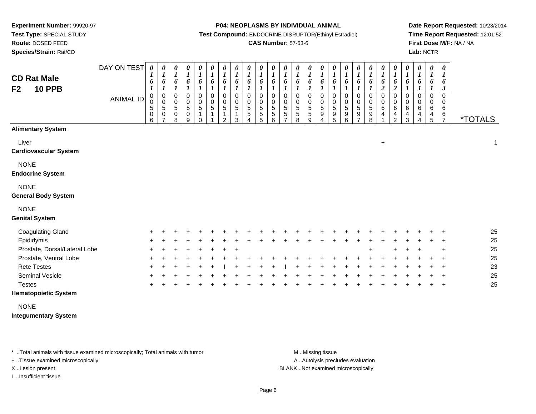**Route:** DOSED FEED

**Species/Strain:** Rat/CD

#### **P04: NEOPLASMS BY INDIVIDUAL ANIMAL**

**Test Compound:** ENDOCRINE DISRUPTOR(Ethinyl Estradiol)

### **CAS Number:** 57-63-6

**Date Report Requested:** 10/23/2014**Time Report Requested:** 12:01:52**First Dose M/F:** NA / NA**Lab:** NCTR

| <b>CD Rat Male</b><br><b>10 PPB</b><br>F <sub>2</sub> | DAY ON TEST<br><b>ANIMAL ID</b> | 0<br>6<br>0<br>$\pmb{0}$<br>5<br>0<br>6 | 0<br>$\boldsymbol{l}$<br>6<br>$\pmb{0}$<br>$\mathbf 0$<br>$\,$ 5 $\,$<br>0<br>$\overline{7}$ | 0<br>$\boldsymbol{l}$<br>6<br>0<br>0<br>5<br>0<br>8 | 0<br>$\boldsymbol{l}$<br>6<br>0<br>$\pmb{0}$<br>$\overline{5}$<br>$\pmb{0}$<br>9 | 0<br>$\boldsymbol{l}$<br>6<br>0<br>0<br>5<br>$\Omega$ | 0<br>$\boldsymbol{l}$<br>6<br>0<br>0<br>$\sqrt{5}$ | $\boldsymbol{\theta}$<br>$\boldsymbol{l}$<br>6<br>0<br>$\mathbf 0$<br>5<br>1<br>2 | 0<br>$\boldsymbol{l}$<br>6<br>0<br>0<br>5<br>3 | $\pmb{\theta}$<br>$\boldsymbol{l}$<br>6<br>0<br>0<br>5<br>5 | 0<br>$\boldsymbol{l}$<br>6<br>$\mathbf 0$<br>0<br>5<br>5<br>5 | $\frac{\theta}{I}$<br>6<br>0<br>$\pmb{0}$<br>$\frac{5}{5}$<br>6 | $\pmb{\theta}$<br>$\boldsymbol{l}$<br>6<br>0<br>0<br>$\sqrt{5}$<br>$\sqrt{5}$<br>$\overline{7}$ | 0<br>$\boldsymbol{l}$<br>6<br>0<br>0<br>5<br>5<br>8 | $\pmb{\theta}$<br>$\boldsymbol{l}$<br>6<br>0<br>$\mathbf 0$<br>$\overline{5}$<br>$\mathbf 5$<br>9 | 0<br>$\boldsymbol{l}$<br>6<br>0<br>0<br>5<br>9<br>4 | 0<br>$\boldsymbol{l}$<br>6<br>0<br>0<br>$\,$ 5 $\,$<br>$\begin{array}{c} 9 \\ 5 \end{array}$ | 0<br>$\boldsymbol{l}$<br>6<br>0<br>$\mathbf 0$<br>$\sqrt{5}$<br>9<br>6 | $\frac{\theta}{I}$<br>6<br>$\pmb{0}$<br>$\begin{array}{c} 0 \\ 5 \\ 9 \end{array}$<br>7 | $\pmb{\theta}$<br>$\boldsymbol{l}$<br>6<br>0<br>$\pmb{0}$<br>$\overline{5}$<br>$\boldsymbol{9}$<br>8 | 0<br>$\boldsymbol{l}$<br>6<br>$\overline{2}$<br>$\mathbf 0$<br>0<br>6<br>4 | $\pmb{\theta}$<br>$\boldsymbol{l}$<br>6<br>$\boldsymbol{2}$<br>0<br>0<br>$\,6$<br>4<br>2 | $\pmb{\theta}$<br>$\boldsymbol{l}$<br>6<br>0<br>0<br>6<br>4<br>3 | $\pmb{\theta}$<br>6<br>0<br>0<br>6<br>4<br>4 | $\boldsymbol{\theta}$<br>$\boldsymbol{l}$<br>6<br>0<br>0<br>6<br>4<br>5 | $\pmb{\theta}$<br>1<br>6<br>3<br>$\mathbf 0$<br>0<br>6<br>$\frac{6}{7}$ | <i><b>*TOTALS</b></i> |
|-------------------------------------------------------|---------------------------------|-----------------------------------------|----------------------------------------------------------------------------------------------|-----------------------------------------------------|----------------------------------------------------------------------------------|-------------------------------------------------------|----------------------------------------------------|-----------------------------------------------------------------------------------|------------------------------------------------|-------------------------------------------------------------|---------------------------------------------------------------|-----------------------------------------------------------------|-------------------------------------------------------------------------------------------------|-----------------------------------------------------|---------------------------------------------------------------------------------------------------|-----------------------------------------------------|----------------------------------------------------------------------------------------------|------------------------------------------------------------------------|-----------------------------------------------------------------------------------------|------------------------------------------------------------------------------------------------------|----------------------------------------------------------------------------|------------------------------------------------------------------------------------------|------------------------------------------------------------------|----------------------------------------------|-------------------------------------------------------------------------|-------------------------------------------------------------------------|-----------------------|
| <b>Alimentary System</b>                              |                                 |                                         |                                                                                              |                                                     |                                                                                  |                                                       |                                                    |                                                                                   |                                                |                                                             |                                                               |                                                                 |                                                                                                 |                                                     |                                                                                                   |                                                     |                                                                                              |                                                                        |                                                                                         |                                                                                                      |                                                                            |                                                                                          |                                                                  |                                              |                                                                         |                                                                         |                       |
| Liver<br><b>Cardiovascular System</b>                 |                                 |                                         |                                                                                              |                                                     |                                                                                  |                                                       |                                                    |                                                                                   |                                                |                                                             |                                                               |                                                                 |                                                                                                 |                                                     |                                                                                                   |                                                     |                                                                                              |                                                                        |                                                                                         |                                                                                                      | $\ddot{}$                                                                  |                                                                                          |                                                                  |                                              |                                                                         |                                                                         | 1                     |
| <b>NONE</b><br><b>Endocrine System</b>                |                                 |                                         |                                                                                              |                                                     |                                                                                  |                                                       |                                                    |                                                                                   |                                                |                                                             |                                                               |                                                                 |                                                                                                 |                                                     |                                                                                                   |                                                     |                                                                                              |                                                                        |                                                                                         |                                                                                                      |                                                                            |                                                                                          |                                                                  |                                              |                                                                         |                                                                         |                       |
| <b>NONE</b><br><b>General Body System</b>             |                                 |                                         |                                                                                              |                                                     |                                                                                  |                                                       |                                                    |                                                                                   |                                                |                                                             |                                                               |                                                                 |                                                                                                 |                                                     |                                                                                                   |                                                     |                                                                                              |                                                                        |                                                                                         |                                                                                                      |                                                                            |                                                                                          |                                                                  |                                              |                                                                         |                                                                         |                       |
| <b>NONE</b><br><b>Genital System</b>                  |                                 |                                         |                                                                                              |                                                     |                                                                                  |                                                       |                                                    |                                                                                   |                                                |                                                             |                                                               |                                                                 |                                                                                                 |                                                     |                                                                                                   |                                                     |                                                                                              |                                                                        |                                                                                         |                                                                                                      |                                                                            |                                                                                          |                                                                  |                                              |                                                                         |                                                                         |                       |
| <b>Coagulating Gland</b>                              |                                 |                                         |                                                                                              |                                                     |                                                                                  |                                                       |                                                    |                                                                                   |                                                |                                                             |                                                               |                                                                 |                                                                                                 |                                                     |                                                                                                   |                                                     |                                                                                              |                                                                        |                                                                                         |                                                                                                      |                                                                            |                                                                                          |                                                                  |                                              |                                                                         |                                                                         | 25                    |
| Epididymis                                            |                                 |                                         |                                                                                              |                                                     |                                                                                  |                                                       |                                                    |                                                                                   |                                                |                                                             |                                                               |                                                                 |                                                                                                 |                                                     |                                                                                                   |                                                     |                                                                                              |                                                                        |                                                                                         |                                                                                                      |                                                                            |                                                                                          |                                                                  |                                              |                                                                         | $\ddot{}$                                                               | 25                    |
| Prostate, Dorsal/Lateral Lobe                         |                                 |                                         |                                                                                              |                                                     |                                                                                  |                                                       |                                                    |                                                                                   |                                                |                                                             |                                                               |                                                                 |                                                                                                 |                                                     |                                                                                                   |                                                     |                                                                                              |                                                                        |                                                                                         |                                                                                                      |                                                                            |                                                                                          |                                                                  |                                              |                                                                         | $\ddot{}$                                                               | 25                    |
| Prostate, Ventral Lobe                                |                                 |                                         |                                                                                              |                                                     |                                                                                  |                                                       |                                                    |                                                                                   |                                                |                                                             |                                                               |                                                                 |                                                                                                 |                                                     |                                                                                                   |                                                     |                                                                                              |                                                                        |                                                                                         |                                                                                                      |                                                                            |                                                                                          |                                                                  |                                              |                                                                         | $\overline{ }$                                                          | 25                    |
| <b>Rete Testes</b>                                    |                                 |                                         |                                                                                              |                                                     |                                                                                  |                                                       |                                                    |                                                                                   |                                                |                                                             |                                                               |                                                                 |                                                                                                 |                                                     |                                                                                                   |                                                     |                                                                                              |                                                                        |                                                                                         |                                                                                                      |                                                                            |                                                                                          |                                                                  |                                              |                                                                         | $\ddot{}$                                                               | 23                    |
| Seminal Vesicle                                       |                                 |                                         |                                                                                              |                                                     |                                                                                  |                                                       |                                                    |                                                                                   |                                                |                                                             |                                                               |                                                                 |                                                                                                 |                                                     |                                                                                                   |                                                     |                                                                                              |                                                                        |                                                                                         |                                                                                                      |                                                                            |                                                                                          |                                                                  |                                              |                                                                         | $\ddot{}$                                                               | 25                    |
| <b>Testes</b>                                         |                                 |                                         |                                                                                              |                                                     |                                                                                  |                                                       |                                                    |                                                                                   |                                                |                                                             |                                                               |                                                                 |                                                                                                 |                                                     |                                                                                                   |                                                     |                                                                                              |                                                                        |                                                                                         |                                                                                                      |                                                                            |                                                                                          |                                                                  |                                              |                                                                         | $\ddot{}$                                                               | 25                    |

#### **Hematopoietic System**

NONE

**Integumentary System**

\* ..Total animals with tissue examined microscopically; Total animals with tumor **M** . Missing tissue M ..Missing tissue

+ ..Tissue examined microscopically

I ..Insufficient tissue

A ..Autolysis precludes evaluation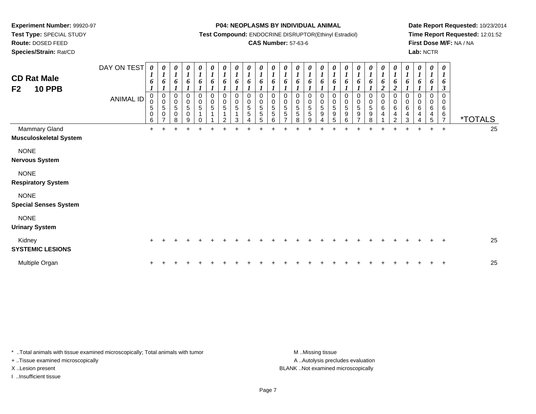**Route:** DOSED FEED

**Species/Strain:** Rat/CD

#### **P04: NEOPLASMS BY INDIVIDUAL ANIMAL**

**Test Compound:** ENDOCRINE DISRUPTOR(Ethinyl Estradiol)

### **CAS Number:** 57-63-6

**Date Report Requested:** 10/23/2014**Time Report Requested:** 12:01:52**First Dose M/F:** NA / NA**Lab:** NCTR

| <b>CD Rat Male</b><br><b>10 PPB</b><br>F <sub>2</sub> | DAY ON TEST<br>ANIMAL ID | $\boldsymbol{\theta}$<br>1<br>6<br>$\pmb{0}$<br>$\pmb{0}$<br>$\,$ 5 $\,$<br>$\mathbf 0$<br>6 | 0<br>$\boldsymbol{l}$<br>6<br>$\pmb{0}$<br>$\pmb{0}$<br>5<br>0 | 0<br>$\boldsymbol{l}$<br>6<br>0<br>$\pmb{0}$<br>$\overline{5}$ <sup>0</sup><br>8 | $\boldsymbol{\theta}$<br>$\boldsymbol{l}$<br>6<br>0<br>$\pmb{0}$<br>$\sqrt{5}$<br>$\pmb{0}$<br>9 | $\begin{matrix} 0 \\ 1 \end{matrix}$<br>6<br>$\,0\,$<br>$\frac{0}{5}$<br>$\mathbf{1}$ | $\boldsymbol{\theta}$<br>$\boldsymbol{l}$<br>$\pmb{6}$<br>$\pmb{0}$<br>$\frac{0}{5}$<br>$\mathbf{1}$ | 0<br>$\boldsymbol{l}$<br>6<br>0<br>$\begin{array}{c} 0 \\ 5 \end{array}$<br>1<br>$\mathfrak{p}$ | 0<br>$\boldsymbol{l}$<br>6<br>$\,0\,$<br>$\pmb{0}$<br>$\sqrt{5}$<br>3 | $\frac{\theta}{I}$<br>6<br>$\pmb{0}$<br>$\mathbf 0$<br>5<br>$\overline{5}$ | $\frac{\theta}{I}$<br>6<br>$\mathbf 0$<br>$\pmb{0}$<br>$\,$ 5 $\,$<br>$\overline{5}$<br>5 | $\frac{\theta}{I}$<br>6<br>0<br>$\mathbf 0$<br>$\sqrt{5}$<br>5<br>6 | $\frac{\theta}{I}$<br>6<br>$\,0\,$<br>$\pmb{0}$<br>$\sqrt{5}$<br>$\sqrt{5}$<br>- | $\boldsymbol{\theta}$<br>$\boldsymbol{l}$<br>6<br>0<br>$\begin{array}{c} 0 \\ 5 \end{array}$<br>$\sqrt{5}$<br>8 | 0<br>$\boldsymbol{l}$<br>6<br>0<br>$\mathsf 0$<br>5<br>5<br>9 | $\pmb{\theta}$<br>$\boldsymbol{l}$<br>6<br>0<br>$\pmb{0}$<br>$\sqrt{5}$<br>9 | $\frac{\theta}{I}$<br>6<br>0<br>$\mathbf 0$<br>5<br>9<br>5 | 0<br>$\boldsymbol{l}$<br>6<br>0<br>$\pmb{0}$<br>$\sqrt{5}$<br>$\boldsymbol{9}$<br>6 | $\frac{\theta}{I}$<br>6<br>0<br>$\pmb{0}$<br>$\overline{5}$<br>$\boldsymbol{9}$<br>⇁ | $\begin{matrix} 0 \\ 1 \end{matrix}$<br>6<br>0<br>$\begin{array}{c} 0 \\ 5 \end{array}$<br>9<br>8 | 0<br>$\boldsymbol{I}$<br>6<br>$\overline{c}$<br>0<br>$\mathsf 0$<br>$\,6\,$<br>$\overline{4}$ | 0<br>$\boldsymbol{l}$<br>6<br>ി<br>0<br>$\mathsf{O}\xspace$<br>6<br>4<br>2 | $\pmb{\theta}$<br>$\boldsymbol{l}$<br>6<br>0<br>$\pmb{0}$<br>$\,6$<br>$\overline{\mathbf{4}}$<br>3 | 0<br>6<br>$\mathbf 0$<br>0<br>6<br>$\overline{4}$ | 0<br>$\boldsymbol{l}$<br>6<br>0<br>0<br>6<br>$\overline{4}$<br>5 | $\boldsymbol{\theta}$<br>$\boldsymbol{l}$<br>6<br>$\boldsymbol{\beta}$<br>$\mathbf 0$<br>0<br>$\,6$<br>$\,6$<br>$\overline{z}$ | <i><b>*TOTALS</b></i> |
|-------------------------------------------------------|--------------------------|----------------------------------------------------------------------------------------------|----------------------------------------------------------------|----------------------------------------------------------------------------------|--------------------------------------------------------------------------------------------------|---------------------------------------------------------------------------------------|------------------------------------------------------------------------------------------------------|-------------------------------------------------------------------------------------------------|-----------------------------------------------------------------------|----------------------------------------------------------------------------|-------------------------------------------------------------------------------------------|---------------------------------------------------------------------|----------------------------------------------------------------------------------|-----------------------------------------------------------------------------------------------------------------|---------------------------------------------------------------|------------------------------------------------------------------------------|------------------------------------------------------------|-------------------------------------------------------------------------------------|--------------------------------------------------------------------------------------|---------------------------------------------------------------------------------------------------|-----------------------------------------------------------------------------------------------|----------------------------------------------------------------------------|----------------------------------------------------------------------------------------------------|---------------------------------------------------|------------------------------------------------------------------|--------------------------------------------------------------------------------------------------------------------------------|-----------------------|
| <b>Mammary Gland</b><br><b>Musculoskeletal System</b> |                          | $+$                                                                                          |                                                                |                                                                                  |                                                                                                  |                                                                                       |                                                                                                      |                                                                                                 |                                                                       |                                                                            |                                                                                           |                                                                     |                                                                                  |                                                                                                                 |                                                               |                                                                              |                                                            |                                                                                     |                                                                                      |                                                                                                   |                                                                                               |                                                                            |                                                                                                    | $\ddot{}$                                         | $+$                                                              | $\ddot{}$                                                                                                                      | 25                    |
| <b>NONE</b><br><b>Nervous System</b>                  |                          |                                                                                              |                                                                |                                                                                  |                                                                                                  |                                                                                       |                                                                                                      |                                                                                                 |                                                                       |                                                                            |                                                                                           |                                                                     |                                                                                  |                                                                                                                 |                                                               |                                                                              |                                                            |                                                                                     |                                                                                      |                                                                                                   |                                                                                               |                                                                            |                                                                                                    |                                                   |                                                                  |                                                                                                                                |                       |
| <b>NONE</b><br><b>Respiratory System</b>              |                          |                                                                                              |                                                                |                                                                                  |                                                                                                  |                                                                                       |                                                                                                      |                                                                                                 |                                                                       |                                                                            |                                                                                           |                                                                     |                                                                                  |                                                                                                                 |                                                               |                                                                              |                                                            |                                                                                     |                                                                                      |                                                                                                   |                                                                                               |                                                                            |                                                                                                    |                                                   |                                                                  |                                                                                                                                |                       |
| <b>NONE</b><br><b>Special Senses System</b>           |                          |                                                                                              |                                                                |                                                                                  |                                                                                                  |                                                                                       |                                                                                                      |                                                                                                 |                                                                       |                                                                            |                                                                                           |                                                                     |                                                                                  |                                                                                                                 |                                                               |                                                                              |                                                            |                                                                                     |                                                                                      |                                                                                                   |                                                                                               |                                                                            |                                                                                                    |                                                   |                                                                  |                                                                                                                                |                       |
| <b>NONE</b><br><b>Urinary System</b>                  |                          |                                                                                              |                                                                |                                                                                  |                                                                                                  |                                                                                       |                                                                                                      |                                                                                                 |                                                                       |                                                                            |                                                                                           |                                                                     |                                                                                  |                                                                                                                 |                                                               |                                                                              |                                                            |                                                                                     |                                                                                      |                                                                                                   |                                                                                               |                                                                            |                                                                                                    |                                                   |                                                                  |                                                                                                                                |                       |
| Kidney<br><b>SYSTEMIC LESIONS</b>                     |                          |                                                                                              |                                                                |                                                                                  |                                                                                                  |                                                                                       |                                                                                                      |                                                                                                 |                                                                       |                                                                            |                                                                                           |                                                                     |                                                                                  |                                                                                                                 |                                                               |                                                                              |                                                            |                                                                                     |                                                                                      |                                                                                                   |                                                                                               |                                                                            |                                                                                                    |                                                   |                                                                  | $\mathbf +$                                                                                                                    | 25                    |
| Multiple Organ                                        |                          |                                                                                              |                                                                |                                                                                  |                                                                                                  |                                                                                       |                                                                                                      |                                                                                                 |                                                                       |                                                                            |                                                                                           |                                                                     |                                                                                  |                                                                                                                 |                                                               |                                                                              |                                                            |                                                                                     |                                                                                      |                                                                                                   |                                                                                               |                                                                            |                                                                                                    |                                                   |                                                                  |                                                                                                                                | 25                    |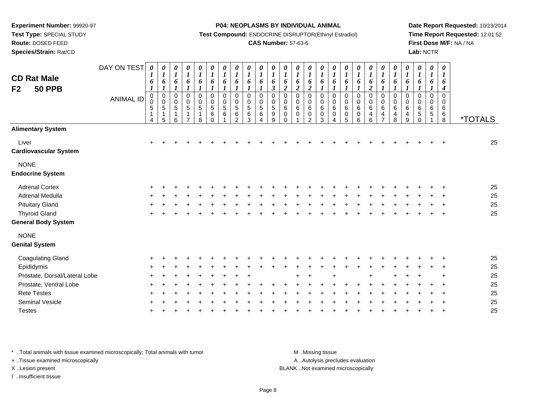**Test Type:** SPECIAL STUDY

**Route:** DOSED FEED

**Species/Strain:** Rat/CD

#### **P04: NEOPLASMS BY INDIVIDUAL ANIMAL**

**Test Compound:** ENDOCRINE DISRUPTOR(Ethinyl Estradiol)

### **CAS Number:** 57-63-6

**Date Report Requested:** 10/23/2014**Time Report Requested:** 12:01:52**First Dose M/F:** NA / NA**Lab:** NCTR

| <b>CD Rat Male</b><br>F <sub>2</sub><br><b>50 PPB</b> | DAY ON TEST<br><b>ANIMAL ID</b> | 0<br>1<br>6<br>$\boldsymbol{l}$<br>$\boldsymbol{0}$<br>0<br>$\mathbf 5$<br>$\mathbf{1}$<br>$\overline{4}$ | $\boldsymbol{\theta}$<br>$\boldsymbol{l}$<br>6<br>$\boldsymbol{l}$<br>$\pmb{0}$<br>$\pmb{0}$<br>$\sqrt{5}$<br>$\mathbf{1}$<br>5 | 0<br>$\boldsymbol{l}$<br>6<br>$\boldsymbol{l}$<br>$\pmb{0}$<br>$\begin{array}{c} 0 \\ 5 \end{array}$<br>1<br>6 | $\frac{\theta}{I}$<br>6<br>$\boldsymbol{l}$<br>$\pmb{0}$<br>$\begin{array}{c} 0 \\ 5 \end{array}$<br>1<br>$\overline{7}$ | 0<br>$\boldsymbol{l}$<br>6<br>$\boldsymbol{l}$<br>$\pmb{0}$<br>$\pmb{0}$<br>$\sqrt{5}$<br>$\mathbf{1}$<br>8 | $\pmb{\theta}$<br>$\boldsymbol{l}$<br>6<br>$\boldsymbol{l}$<br>$\pmb{0}$<br>$\pmb{0}$<br>$\sqrt{5}$<br>$\,6$<br>$\mathbf 0$ | $\pmb{\theta}$<br>$\boldsymbol{l}$<br>6<br>$\mathbf{I}$<br>$\,0\,$<br>$\begin{smallmatrix}0\0\5\end{smallmatrix}$<br>6 | $\boldsymbol{\theta}$<br>$\boldsymbol{l}$<br>6<br>$\boldsymbol{l}$<br>0<br>$\pmb{0}$<br>$\sqrt{5}$<br>$\,6\,$<br>$\overline{2}$ | $\pmb{\theta}$<br>$\boldsymbol{l}$<br>6<br>$\boldsymbol{l}$<br>0<br>$\pmb{0}$<br>$\,$ 5 $\,$<br>6<br>3 | $\boldsymbol{\theta}$<br>$\boldsymbol{l}$<br>6<br>$\boldsymbol{l}$<br>$\mathbf 0$<br>0<br>5<br>$\,6$<br>4 | 0<br>$\boldsymbol{l}$<br>6<br>$\mathfrak{z}$<br>$\pmb{0}$<br>$\begin{smallmatrix}0\0\5\end{smallmatrix}$<br>$\boldsymbol{9}$<br>9 | $\boldsymbol{\theta}$<br>$\boldsymbol{l}$<br>6<br>$\boldsymbol{2}$<br>$\mathbf 0$<br>$\mathbf 0$<br>$\,6$<br>$\pmb{0}$<br>$\Omega$ | 0<br>$\boldsymbol{l}$<br>6<br>$\boldsymbol{2}$<br>0<br>$\pmb{0}$<br>$\,6$<br>0 | 0<br>$\boldsymbol{l}$<br>6<br>$\overline{2}$<br>$\mathbf 0$<br>0<br>$\,6\,$<br>$\mathbf 0$<br>$\mathcal{D}$ | 0<br>$\boldsymbol{l}$<br>6<br>0<br>0<br>$\,6\,$<br>$\pmb{0}$<br>3 | $\pmb{\theta}$<br>$\boldsymbol{l}$<br>6<br>$\boldsymbol{l}$<br>0<br>$\mathbf 0$<br>$\,6\,$<br>$\mathbf 0$<br>4 | 0<br>$\boldsymbol{l}$<br>6<br>1<br>0<br>0<br>6<br>0<br>5 | $\boldsymbol{\theta}$<br>$\boldsymbol{l}$<br>6<br>1<br>$\mathbf 0$<br>0<br>$\,6\,$<br>$\mathbf 0$<br>6 | $\boldsymbol{\theta}$<br>$\boldsymbol{l}$<br>6<br>$\boldsymbol{2}$<br>0<br>$\mathbf 0$<br>$\,6\,$<br>4<br>6 | 0<br>$\boldsymbol{l}$<br>6<br>$\boldsymbol{l}$<br>$\mathbf 0$<br>$\boldsymbol{0}$<br>$\,6$<br>4<br>$\overline{ }$ | 0<br>$\boldsymbol{l}$<br>6<br>$\boldsymbol{l}$<br>0<br>$\boldsymbol{0}$<br>6<br>4<br>8 | 0<br>$\boldsymbol{l}$<br>6<br>1<br>$\mathbf 0$<br>0<br>$\,6$<br>4<br>9 | 0<br>$\boldsymbol{l}$<br>6<br>0<br>0<br>$\,6$<br>5<br>$\mathbf 0$ | $\boldsymbol{\theta}$<br>$\boldsymbol{l}$<br>6<br>$\boldsymbol{l}$<br>0<br>0<br>$\,6$<br>5 | 0<br>$\boldsymbol{l}$<br>6<br>4<br>$\mathbf 0$<br>0<br>6<br>6<br>8 | <i><b>*TOTALS</b></i> |
|-------------------------------------------------------|---------------------------------|-----------------------------------------------------------------------------------------------------------|---------------------------------------------------------------------------------------------------------------------------------|----------------------------------------------------------------------------------------------------------------|--------------------------------------------------------------------------------------------------------------------------|-------------------------------------------------------------------------------------------------------------|-----------------------------------------------------------------------------------------------------------------------------|------------------------------------------------------------------------------------------------------------------------|---------------------------------------------------------------------------------------------------------------------------------|--------------------------------------------------------------------------------------------------------|-----------------------------------------------------------------------------------------------------------|-----------------------------------------------------------------------------------------------------------------------------------|------------------------------------------------------------------------------------------------------------------------------------|--------------------------------------------------------------------------------|-------------------------------------------------------------------------------------------------------------|-------------------------------------------------------------------|----------------------------------------------------------------------------------------------------------------|----------------------------------------------------------|--------------------------------------------------------------------------------------------------------|-------------------------------------------------------------------------------------------------------------|-------------------------------------------------------------------------------------------------------------------|----------------------------------------------------------------------------------------|------------------------------------------------------------------------|-------------------------------------------------------------------|--------------------------------------------------------------------------------------------|--------------------------------------------------------------------|-----------------------|
| <b>Alimentary System</b>                              |                                 |                                                                                                           |                                                                                                                                 |                                                                                                                |                                                                                                                          |                                                                                                             |                                                                                                                             |                                                                                                                        |                                                                                                                                 |                                                                                                        |                                                                                                           |                                                                                                                                   |                                                                                                                                    |                                                                                |                                                                                                             |                                                                   |                                                                                                                |                                                          |                                                                                                        |                                                                                                             |                                                                                                                   |                                                                                        |                                                                        |                                                                   |                                                                                            |                                                                    |                       |
| Liver<br><b>Cardiovascular System</b>                 |                                 | $+$                                                                                                       |                                                                                                                                 |                                                                                                                |                                                                                                                          |                                                                                                             |                                                                                                                             |                                                                                                                        |                                                                                                                                 |                                                                                                        |                                                                                                           |                                                                                                                                   |                                                                                                                                    |                                                                                |                                                                                                             |                                                                   |                                                                                                                |                                                          |                                                                                                        |                                                                                                             |                                                                                                                   |                                                                                        |                                                                        |                                                                   |                                                                                            |                                                                    | 25                    |
| <b>NONE</b><br><b>Endocrine System</b>                |                                 |                                                                                                           |                                                                                                                                 |                                                                                                                |                                                                                                                          |                                                                                                             |                                                                                                                             |                                                                                                                        |                                                                                                                                 |                                                                                                        |                                                                                                           |                                                                                                                                   |                                                                                                                                    |                                                                                |                                                                                                             |                                                                   |                                                                                                                |                                                          |                                                                                                        |                                                                                                             |                                                                                                                   |                                                                                        |                                                                        |                                                                   |                                                                                            |                                                                    |                       |
| <b>Adrenal Cortex</b>                                 |                                 |                                                                                                           |                                                                                                                                 |                                                                                                                |                                                                                                                          |                                                                                                             |                                                                                                                             |                                                                                                                        |                                                                                                                                 |                                                                                                        |                                                                                                           |                                                                                                                                   |                                                                                                                                    |                                                                                |                                                                                                             |                                                                   |                                                                                                                |                                                          |                                                                                                        |                                                                                                             |                                                                                                                   |                                                                                        |                                                                        |                                                                   |                                                                                            |                                                                    | 25                    |
| <b>Adrenal Medulla</b>                                |                                 |                                                                                                           |                                                                                                                                 |                                                                                                                |                                                                                                                          |                                                                                                             |                                                                                                                             |                                                                                                                        |                                                                                                                                 |                                                                                                        |                                                                                                           |                                                                                                                                   |                                                                                                                                    |                                                                                |                                                                                                             |                                                                   |                                                                                                                |                                                          |                                                                                                        |                                                                                                             |                                                                                                                   |                                                                                        |                                                                        |                                                                   |                                                                                            |                                                                    | 25                    |
| <b>Pituitary Gland</b>                                |                                 |                                                                                                           |                                                                                                                                 |                                                                                                                |                                                                                                                          |                                                                                                             |                                                                                                                             |                                                                                                                        |                                                                                                                                 |                                                                                                        |                                                                                                           |                                                                                                                                   |                                                                                                                                    |                                                                                |                                                                                                             |                                                                   |                                                                                                                |                                                          |                                                                                                        |                                                                                                             |                                                                                                                   |                                                                                        |                                                                        |                                                                   |                                                                                            |                                                                    | 25                    |
| <b>Thyroid Gland</b>                                  |                                 |                                                                                                           |                                                                                                                                 |                                                                                                                |                                                                                                                          |                                                                                                             |                                                                                                                             |                                                                                                                        |                                                                                                                                 |                                                                                                        |                                                                                                           |                                                                                                                                   |                                                                                                                                    |                                                                                |                                                                                                             |                                                                   |                                                                                                                |                                                          |                                                                                                        |                                                                                                             |                                                                                                                   |                                                                                        |                                                                        |                                                                   |                                                                                            |                                                                    | 25                    |
| <b>General Body System</b>                            |                                 |                                                                                                           |                                                                                                                                 |                                                                                                                |                                                                                                                          |                                                                                                             |                                                                                                                             |                                                                                                                        |                                                                                                                                 |                                                                                                        |                                                                                                           |                                                                                                                                   |                                                                                                                                    |                                                                                |                                                                                                             |                                                                   |                                                                                                                |                                                          |                                                                                                        |                                                                                                             |                                                                                                                   |                                                                                        |                                                                        |                                                                   |                                                                                            |                                                                    |                       |
| <b>NONE</b><br><b>Genital System</b>                  |                                 |                                                                                                           |                                                                                                                                 |                                                                                                                |                                                                                                                          |                                                                                                             |                                                                                                                             |                                                                                                                        |                                                                                                                                 |                                                                                                        |                                                                                                           |                                                                                                                                   |                                                                                                                                    |                                                                                |                                                                                                             |                                                                   |                                                                                                                |                                                          |                                                                                                        |                                                                                                             |                                                                                                                   |                                                                                        |                                                                        |                                                                   |                                                                                            |                                                                    |                       |
| Coagulating Gland                                     |                                 |                                                                                                           |                                                                                                                                 |                                                                                                                |                                                                                                                          |                                                                                                             |                                                                                                                             |                                                                                                                        |                                                                                                                                 |                                                                                                        |                                                                                                           |                                                                                                                                   |                                                                                                                                    |                                                                                |                                                                                                             |                                                                   |                                                                                                                |                                                          |                                                                                                        |                                                                                                             |                                                                                                                   |                                                                                        |                                                                        |                                                                   |                                                                                            |                                                                    | 25                    |
| Epididymis                                            |                                 |                                                                                                           |                                                                                                                                 |                                                                                                                |                                                                                                                          |                                                                                                             |                                                                                                                             |                                                                                                                        |                                                                                                                                 |                                                                                                        |                                                                                                           |                                                                                                                                   |                                                                                                                                    |                                                                                |                                                                                                             |                                                                   |                                                                                                                |                                                          |                                                                                                        |                                                                                                             |                                                                                                                   |                                                                                        |                                                                        |                                                                   |                                                                                            |                                                                    | 25                    |
| Prostate, Dorsal/Lateral Lobe                         |                                 |                                                                                                           |                                                                                                                                 |                                                                                                                |                                                                                                                          |                                                                                                             |                                                                                                                             |                                                                                                                        |                                                                                                                                 |                                                                                                        |                                                                                                           |                                                                                                                                   |                                                                                                                                    |                                                                                |                                                                                                             |                                                                   |                                                                                                                |                                                          |                                                                                                        |                                                                                                             |                                                                                                                   |                                                                                        |                                                                        |                                                                   |                                                                                            |                                                                    | 25                    |
| Prostate, Ventral Lobe                                |                                 |                                                                                                           |                                                                                                                                 |                                                                                                                |                                                                                                                          |                                                                                                             |                                                                                                                             |                                                                                                                        |                                                                                                                                 |                                                                                                        |                                                                                                           |                                                                                                                                   |                                                                                                                                    |                                                                                |                                                                                                             |                                                                   |                                                                                                                |                                                          |                                                                                                        |                                                                                                             |                                                                                                                   |                                                                                        |                                                                        |                                                                   |                                                                                            |                                                                    | 25                    |
| <b>Rete Testes</b>                                    |                                 |                                                                                                           |                                                                                                                                 |                                                                                                                |                                                                                                                          |                                                                                                             |                                                                                                                             |                                                                                                                        |                                                                                                                                 |                                                                                                        |                                                                                                           |                                                                                                                                   |                                                                                                                                    |                                                                                |                                                                                                             |                                                                   |                                                                                                                |                                                          |                                                                                                        |                                                                                                             |                                                                                                                   |                                                                                        |                                                                        |                                                                   |                                                                                            |                                                                    | 25                    |
| <b>Seminal Vesicle</b>                                |                                 |                                                                                                           |                                                                                                                                 |                                                                                                                |                                                                                                                          |                                                                                                             |                                                                                                                             |                                                                                                                        |                                                                                                                                 |                                                                                                        |                                                                                                           |                                                                                                                                   |                                                                                                                                    |                                                                                |                                                                                                             |                                                                   |                                                                                                                |                                                          |                                                                                                        |                                                                                                             |                                                                                                                   |                                                                                        |                                                                        |                                                                   |                                                                                            |                                                                    | 25                    |
| <b>Testes</b>                                         |                                 |                                                                                                           |                                                                                                                                 |                                                                                                                |                                                                                                                          |                                                                                                             |                                                                                                                             |                                                                                                                        |                                                                                                                                 |                                                                                                        |                                                                                                           |                                                                                                                                   |                                                                                                                                    |                                                                                |                                                                                                             |                                                                   |                                                                                                                |                                                          |                                                                                                        |                                                                                                             |                                                                                                                   |                                                                                        |                                                                        |                                                                   |                                                                                            |                                                                    | 25                    |

\* ..Total animals with tissue examined microscopically; Total animals with tumor **M** . Missing tissue M ..Missing tissue

+ ..Tissue examined microscopically

I ..Insufficient tissue

A ..Autolysis precludes evaluation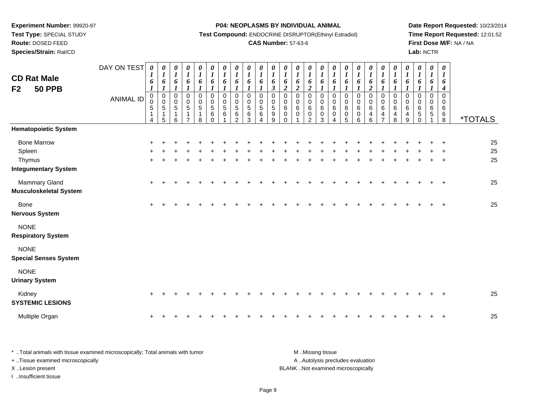**Test Type:** SPECIAL STUDY

**Route:** DOSED FEED

**Species/Strain:** Rat/CD

#### **P04: NEOPLASMS BY INDIVIDUAL ANIMAL**

**Test Compound:** ENDOCRINE DISRUPTOR(Ethinyl Estradiol)

# **CAS Number:** 57-63-6

**Date Report Requested:** 10/23/2014 **Time Report Requested:** 12:01:52**First Dose M/F:** NA / NA**Lab:** NCTR

| <b>CD Rat Male</b><br><b>50 PPB</b><br>F <sub>2</sub>                 | DAY ON TEST<br><b>ANIMAL ID</b> | 0<br>$\boldsymbol{l}$<br>6<br>$\boldsymbol{l}$<br>$\mathbf 0$<br>0<br>5<br>4 | $\boldsymbol{\theta}$<br>$\boldsymbol{l}$<br>6<br>$\boldsymbol{l}$<br>0<br>$\pmb{0}$<br>$\sqrt{5}$<br>$\mathbf{1}$<br>5 | $\boldsymbol{\theta}$<br>$\boldsymbol{I}$<br>6<br>$\boldsymbol{l}$<br>$\mathbf 0$<br>$\overline{0}$<br>5<br>$\mathbf{1}$<br>6 | 0<br>$\boldsymbol{l}$<br>6<br>$\boldsymbol{l}$<br>0<br>$\mathbf 0$<br>$\overline{5}$<br>1<br>$\overline{7}$ | 0<br>$\boldsymbol{l}$<br>6<br>1<br>0<br>$\pmb{0}$<br>$\sqrt{5}$<br>1<br>8 | $\pmb{\theta}$<br>$\boldsymbol{l}$<br>6<br>$\boldsymbol{l}$<br>$\mathbf 0$<br>$\pmb{0}$<br>$\sqrt{5}$<br>6<br>$\Omega$ | 0<br>$\boldsymbol{l}$<br>6<br>$\boldsymbol{l}$<br>$\mathbf 0$<br>$\pmb{0}$<br>$\,$ 5 $\,$<br>$\,6$ | 0<br>$\boldsymbol{l}$<br>6<br>$\boldsymbol{l}$<br>$\mathbf 0$<br>0<br>5<br>6<br>$\overline{2}$ | $\frac{\boldsymbol{\theta}}{\boldsymbol{I}}$<br>6<br>$\boldsymbol{l}$<br>$\Omega$<br>0<br>$\sqrt{5}$<br>6<br>3 | $\boldsymbol{\theta}$<br>$\boldsymbol{l}$<br>6<br>$\boldsymbol{I}$<br>$\mathbf 0$<br>0<br>$\sqrt{5}$<br>$\,6$<br>$\Delta$ | 0<br>$\boldsymbol{l}$<br>6<br>$\boldsymbol{\beta}$<br>0<br>0<br>$5\,$<br>$\boldsymbol{9}$<br>9 | 0<br>$\boldsymbol{l}$<br>6<br>$\overline{c}$<br>0<br>0<br>6<br>0<br>$\Omega$ | 0<br>$\boldsymbol{l}$<br>6<br>$\boldsymbol{2}$<br>$\mathbf 0$<br>$\mathbf 0$<br>6<br>0<br>1 | 0<br>$\boldsymbol{l}$<br>6<br>$\boldsymbol{2}$<br>$\mathbf 0$<br>$\pmb{0}$<br>$\,6$<br>$\pmb{0}$<br>$\overline{2}$ | 0<br>$\boldsymbol{l}$<br>6<br>$\boldsymbol{l}$<br>0<br>0<br>6<br>$\pmb{0}$<br>3 | $\frac{\theta}{I}$<br>6<br>$\boldsymbol{l}$<br>0<br>0<br>6<br>$\pmb{0}$<br>$\overline{4}$ | $\boldsymbol{\theta}$<br>$\boldsymbol{l}$<br>6<br>1<br>$\mathbf 0$<br>$\mathbf 0$<br>6<br>$\pmb{0}$<br>5 | 0<br>$\boldsymbol{l}$<br>6<br>$\boldsymbol{l}$<br>0<br>0<br>6<br>$\pmb{0}$<br>$6\phantom{a}$ | 0<br>$\boldsymbol{l}$<br>6<br>$\overline{c}$<br>0<br>$\pmb{0}$<br>6<br>4<br>$6\phantom{a}$ | 0<br>$\boldsymbol{l}$<br>6<br>$\boldsymbol{l}$<br>$\mathbf 0$<br>$\pmb{0}$<br>$\,6\,$<br>$\frac{4}{7}$ | 0<br>$\boldsymbol{l}$<br>$\boldsymbol{6}$<br>$\boldsymbol{l}$<br>$\mathbf 0$<br>$\pmb{0}$<br>$\,6$<br>$\overline{4}$<br>8 | 0<br>$\boldsymbol{l}$<br>6<br>$\boldsymbol{l}$<br>$\Omega$<br>0<br>6<br>4<br>$\boldsymbol{9}$ | 0<br>$\boldsymbol{l}$<br>6<br>$\boldsymbol{l}$<br>0<br>$\mathbf 0$<br>6<br>$^5_{0}$ | 0<br>$\boldsymbol{l}$<br>6<br>1<br>$\Omega$<br>0<br>6<br>5 | 0<br>$\boldsymbol{l}$<br>6<br>$\boldsymbol{4}$<br>$\mathbf 0$<br>0<br>6<br>$^6_8$ | <i><b>*TOTALS</b></i> |
|-----------------------------------------------------------------------|---------------------------------|------------------------------------------------------------------------------|-------------------------------------------------------------------------------------------------------------------------|-------------------------------------------------------------------------------------------------------------------------------|-------------------------------------------------------------------------------------------------------------|---------------------------------------------------------------------------|------------------------------------------------------------------------------------------------------------------------|----------------------------------------------------------------------------------------------------|------------------------------------------------------------------------------------------------|----------------------------------------------------------------------------------------------------------------|---------------------------------------------------------------------------------------------------------------------------|------------------------------------------------------------------------------------------------|------------------------------------------------------------------------------|---------------------------------------------------------------------------------------------|--------------------------------------------------------------------------------------------------------------------|---------------------------------------------------------------------------------|-------------------------------------------------------------------------------------------|----------------------------------------------------------------------------------------------------------|----------------------------------------------------------------------------------------------|--------------------------------------------------------------------------------------------|--------------------------------------------------------------------------------------------------------|---------------------------------------------------------------------------------------------------------------------------|-----------------------------------------------------------------------------------------------|-------------------------------------------------------------------------------------|------------------------------------------------------------|-----------------------------------------------------------------------------------|-----------------------|
| <b>Hematopoietic System</b>                                           |                                 |                                                                              |                                                                                                                         |                                                                                                                               |                                                                                                             |                                                                           |                                                                                                                        |                                                                                                    |                                                                                                |                                                                                                                |                                                                                                                           |                                                                                                |                                                                              |                                                                                             |                                                                                                                    |                                                                                 |                                                                                           |                                                                                                          |                                                                                              |                                                                                            |                                                                                                        |                                                                                                                           |                                                                                               |                                                                                     |                                                            |                                                                                   |                       |
| <b>Bone Marrow</b><br>Spleen<br>Thymus<br><b>Integumentary System</b> |                                 | +<br>$\pm$                                                                   |                                                                                                                         |                                                                                                                               |                                                                                                             |                                                                           |                                                                                                                        |                                                                                                    |                                                                                                |                                                                                                                |                                                                                                                           |                                                                                                |                                                                              |                                                                                             |                                                                                                                    |                                                                                 |                                                                                           |                                                                                                          |                                                                                              |                                                                                            |                                                                                                        |                                                                                                                           |                                                                                               |                                                                                     |                                                            | $\ddot{}$                                                                         | 25<br>25<br>25        |
| Mammary Gland<br><b>Musculoskeletal System</b>                        |                                 | $\ddot{}$                                                                    |                                                                                                                         |                                                                                                                               |                                                                                                             |                                                                           |                                                                                                                        |                                                                                                    |                                                                                                |                                                                                                                |                                                                                                                           |                                                                                                |                                                                              |                                                                                             |                                                                                                                    |                                                                                 |                                                                                           |                                                                                                          |                                                                                              |                                                                                            |                                                                                                        |                                                                                                                           |                                                                                               |                                                                                     |                                                            | $\overline{ }$                                                                    | 25                    |
| Bone<br><b>Nervous System</b>                                         |                                 | +                                                                            |                                                                                                                         |                                                                                                                               |                                                                                                             |                                                                           |                                                                                                                        |                                                                                                    |                                                                                                |                                                                                                                |                                                                                                                           |                                                                                                |                                                                              |                                                                                             |                                                                                                                    |                                                                                 |                                                                                           |                                                                                                          |                                                                                              |                                                                                            |                                                                                                        |                                                                                                                           |                                                                                               |                                                                                     |                                                            | $\ddot{}$                                                                         | 25                    |
| <b>NONE</b><br><b>Respiratory System</b>                              |                                 |                                                                              |                                                                                                                         |                                                                                                                               |                                                                                                             |                                                                           |                                                                                                                        |                                                                                                    |                                                                                                |                                                                                                                |                                                                                                                           |                                                                                                |                                                                              |                                                                                             |                                                                                                                    |                                                                                 |                                                                                           |                                                                                                          |                                                                                              |                                                                                            |                                                                                                        |                                                                                                                           |                                                                                               |                                                                                     |                                                            |                                                                                   |                       |
| <b>NONE</b><br><b>Special Senses System</b>                           |                                 |                                                                              |                                                                                                                         |                                                                                                                               |                                                                                                             |                                                                           |                                                                                                                        |                                                                                                    |                                                                                                |                                                                                                                |                                                                                                                           |                                                                                                |                                                                              |                                                                                             |                                                                                                                    |                                                                                 |                                                                                           |                                                                                                          |                                                                                              |                                                                                            |                                                                                                        |                                                                                                                           |                                                                                               |                                                                                     |                                                            |                                                                                   |                       |
| <b>NONE</b><br><b>Urinary System</b>                                  |                                 |                                                                              |                                                                                                                         |                                                                                                                               |                                                                                                             |                                                                           |                                                                                                                        |                                                                                                    |                                                                                                |                                                                                                                |                                                                                                                           |                                                                                                |                                                                              |                                                                                             |                                                                                                                    |                                                                                 |                                                                                           |                                                                                                          |                                                                                              |                                                                                            |                                                                                                        |                                                                                                                           |                                                                                               |                                                                                     |                                                            |                                                                                   |                       |
| Kidney<br><b>SYSTEMIC LESIONS</b>                                     |                                 | $\ddot{}$                                                                    |                                                                                                                         |                                                                                                                               |                                                                                                             |                                                                           |                                                                                                                        |                                                                                                    |                                                                                                |                                                                                                                |                                                                                                                           |                                                                                                |                                                                              |                                                                                             |                                                                                                                    |                                                                                 |                                                                                           |                                                                                                          |                                                                                              |                                                                                            |                                                                                                        |                                                                                                                           |                                                                                               |                                                                                     |                                                            | $\,$                                                                              | 25                    |
| Multiple Organ                                                        |                                 | $\ddot{}$                                                                    |                                                                                                                         |                                                                                                                               |                                                                                                             |                                                                           |                                                                                                                        |                                                                                                    |                                                                                                |                                                                                                                |                                                                                                                           |                                                                                                |                                                                              |                                                                                             |                                                                                                                    |                                                                                 |                                                                                           |                                                                                                          |                                                                                              |                                                                                            |                                                                                                        |                                                                                                                           |                                                                                               |                                                                                     |                                                            | $\ddot{}$                                                                         | 25                    |

| Total animals with tissue examined microscopically; Total animals with tumor | M Missing tissue                   |
|------------------------------------------------------------------------------|------------------------------------|
| + Tissue examined microscopically                                            | A Autolysis precludes evaluation   |
| X Lesion present                                                             | BLANK Not examined microscopically |
| …Insufficient tissue                                                         |                                    |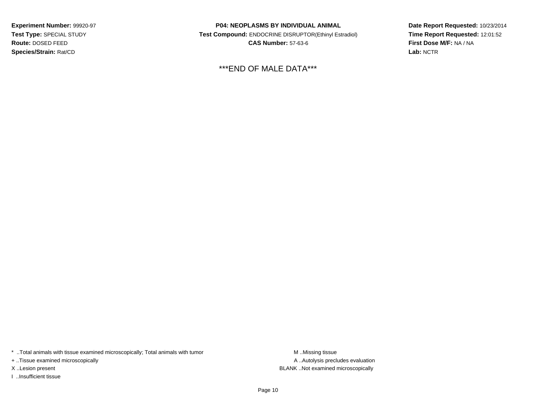**Experiment Number:** 99920-97**Test Type:** SPECIAL STUDY**Route:** DOSED FEED**Species/Strain:** Rat/CD

**P04: NEOPLASMS BY INDIVIDUAL ANIMAL Test Compound:** ENDOCRINE DISRUPTOR(Ethinyl Estradiol)**CAS Number:** 57-63-6

\*\*\*END OF MALE DATA\*\*\*

**Date Report Requested:** 10/23/2014**Time Report Requested:** 12:01:52**First Dose M/F:** NA / NA**Lab:** NCTR

\* ..Total animals with tissue examined microscopically; Total animals with tumor **M** . Missing tissue M ..Missing tissue

+ ..Tissue examined microscopically

I ..Insufficient tissue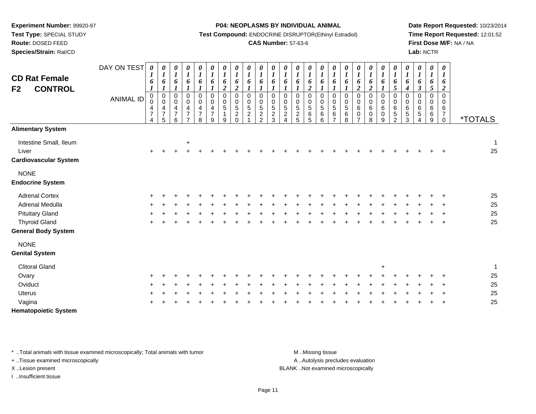**Test Type:** SPECIAL STUDY

**Route:** DOSED FEED

**Species/Strain:** Rat/CD

#### **P04: NEOPLASMS BY INDIVIDUAL ANIMAL**

**Test Compound:** ENDOCRINE DISRUPTOR(Ethinyl Estradiol)

### **CAS Number:** 57-63-6

**Date Report Requested:** 10/23/2014**Time Report Requested:** 12:01:52**First Dose M/F:** NA / NA**Lab:** NCTR

| <b>CD Rat Female</b><br><b>CONTROL</b><br>F <sub>2</sub>        | DAY ON TEST<br><b>ANIMAL ID</b> | $\boldsymbol{\theta}$<br>6<br>$\pmb{0}$<br>$\mbox{O}$<br>$\overline{4}$<br>$\overline{7}$<br>4 | 0<br>$\boldsymbol{l}$<br>6<br>$\pmb{0}$<br>$\boldsymbol{0}$<br>4<br>$\overline{7}$<br>5 | 0<br>$\boldsymbol{l}$<br>6<br>$\pmb{0}$<br>$\boldsymbol{0}$<br>$\overline{4}$<br>$\overline{7}$<br>6 | $\boldsymbol{\theta}$<br>$\boldsymbol{l}$<br>6<br>$\boldsymbol{l}$<br>$\mathbf 0$<br>$\pmb{0}$<br>$\overline{\mathbf{4}}$<br>$\overline{7}$<br>$\overline{ }$ | 0<br>$\boldsymbol{l}$<br>6<br>0<br>0<br>$\frac{4}{7}$<br>8 | 0<br>$\boldsymbol{l}$<br>6<br>$\mathsf 0$<br>$\mathbf 0$<br>4<br>$\overline{7}$<br>9 | 0<br>$\boldsymbol{l}$<br>6<br>$\overline{2}$<br>$\pmb{0}$<br>$\pmb{0}$<br>5<br>1<br>9 | 0<br>$\boldsymbol{l}$<br>6<br>$\overline{\mathbf{c}}$<br>$\pmb{0}$<br>$\pmb{0}$<br>$\sqrt{5}$<br>$\overline{c}$<br>$\Omega$ | 0<br>$\boldsymbol{l}$<br>6<br>$\mathbf 0$<br>0<br>5<br>$\overline{c}$ | 0<br>$\boldsymbol{l}$<br>6<br>$\mathbf 0$<br>0<br>$\sqrt{5}$<br>$\overline{c}$<br>$\overline{2}$ | 0<br>$\boldsymbol{l}$<br>6<br>$\mathbf 0$<br>0<br>5<br>$\overline{c}$<br>3 | 0<br>6<br>$\mathbf 0$<br>0<br>$\frac{5}{2}$ | 0<br>$\boldsymbol{l}$<br>6<br>$\mathbf 0$<br>$\boldsymbol{0}$<br>$\overline{5}$<br>$\sqrt{2}$<br>5 | 0<br>$\boldsymbol{l}$<br>6<br>$\boldsymbol{2}$<br>$\mathbf 0$<br>$\pmb{0}$<br>5<br>6<br>5 | 0<br>$\boldsymbol{l}$<br>6<br>$\mathbf 0$<br>$\pmb{0}$<br>$\overline{5}$<br>$\,6\,$<br>6 | 0<br>$\boldsymbol{l}$<br>6<br>$\mathbf 0$<br>0<br>5<br>6<br>$\overline{7}$ | 0<br>$\boldsymbol{l}$<br>6<br>$\pmb{0}$<br>$\pmb{0}$<br>$\sqrt{5}$<br>6<br>8 | 0<br>$\boldsymbol{l}$<br>6<br>$\boldsymbol{2}$<br>$\overline{0}$<br>$\mathbf 0$<br>$\,6$<br>0<br>7 | 0<br>6<br>$\overline{c}$<br>0<br>0<br>$\,6\,$<br>0<br>8 | 0<br>$\boldsymbol{l}$<br>6<br>0<br>$\boldsymbol{0}$<br>$\,6\,$<br>$\mathbf 0$<br>9 | 0<br>$\boldsymbol{l}$<br>6<br>5<br>$\pmb{0}$<br>$\pmb{0}$<br>6<br>5<br>2 | 0<br>$\boldsymbol{l}$<br>6<br>$\boldsymbol{4}$<br>$\pmb{0}$<br>0<br>$\,6\,$<br>$\,$ 5 $\,$<br>3 | 0<br>$\boldsymbol{l}$<br>6<br>$\boldsymbol{\beta}$<br>$\mathbf 0$<br>0<br>6<br>5<br>4 | 0<br>$\boldsymbol{l}$<br>6<br>5<br>0<br>0<br>6<br>6<br>9 | $\boldsymbol{\theta}$<br>$\boldsymbol{l}$<br>6<br>$\boldsymbol{2}$<br>$\mathbf 0$<br>$\mathbf 0$<br>6<br>$\overline{7}$<br>$\mathbf 0$ | <i><b>*TOTALS</b></i> |
|-----------------------------------------------------------------|---------------------------------|------------------------------------------------------------------------------------------------|-----------------------------------------------------------------------------------------|------------------------------------------------------------------------------------------------------|---------------------------------------------------------------------------------------------------------------------------------------------------------------|------------------------------------------------------------|--------------------------------------------------------------------------------------|---------------------------------------------------------------------------------------|-----------------------------------------------------------------------------------------------------------------------------|-----------------------------------------------------------------------|--------------------------------------------------------------------------------------------------|----------------------------------------------------------------------------|---------------------------------------------|----------------------------------------------------------------------------------------------------|-------------------------------------------------------------------------------------------|------------------------------------------------------------------------------------------|----------------------------------------------------------------------------|------------------------------------------------------------------------------|----------------------------------------------------------------------------------------------------|---------------------------------------------------------|------------------------------------------------------------------------------------|--------------------------------------------------------------------------|-------------------------------------------------------------------------------------------------|---------------------------------------------------------------------------------------|----------------------------------------------------------|----------------------------------------------------------------------------------------------------------------------------------------|-----------------------|
| <b>Alimentary System</b>                                        |                                 |                                                                                                |                                                                                         |                                                                                                      |                                                                                                                                                               |                                                            |                                                                                      |                                                                                       |                                                                                                                             |                                                                       |                                                                                                  |                                                                            |                                             |                                                                                                    |                                                                                           |                                                                                          |                                                                            |                                                                              |                                                                                                    |                                                         |                                                                                    |                                                                          |                                                                                                 |                                                                                       |                                                          |                                                                                                                                        |                       |
| Intestine Small, Ileum<br>Liver<br><b>Cardiovascular System</b> |                                 | $\ddot{}$                                                                                      |                                                                                         |                                                                                                      | $\ddot{}$                                                                                                                                                     |                                                            |                                                                                      |                                                                                       |                                                                                                                             |                                                                       |                                                                                                  |                                                                            |                                             |                                                                                                    |                                                                                           |                                                                                          |                                                                            |                                                                              |                                                                                                    |                                                         |                                                                                    |                                                                          |                                                                                                 |                                                                                       |                                                          |                                                                                                                                        | $\mathbf{1}$<br>25    |
| <b>NONE</b>                                                     |                                 |                                                                                                |                                                                                         |                                                                                                      |                                                                                                                                                               |                                                            |                                                                                      |                                                                                       |                                                                                                                             |                                                                       |                                                                                                  |                                                                            |                                             |                                                                                                    |                                                                                           |                                                                                          |                                                                            |                                                                              |                                                                                                    |                                                         |                                                                                    |                                                                          |                                                                                                 |                                                                                       |                                                          |                                                                                                                                        |                       |
| <b>Endocrine System</b>                                         |                                 |                                                                                                |                                                                                         |                                                                                                      |                                                                                                                                                               |                                                            |                                                                                      |                                                                                       |                                                                                                                             |                                                                       |                                                                                                  |                                                                            |                                             |                                                                                                    |                                                                                           |                                                                                          |                                                                            |                                                                              |                                                                                                    |                                                         |                                                                                    |                                                                          |                                                                                                 |                                                                                       |                                                          |                                                                                                                                        |                       |
| <b>Adrenal Cortex</b>                                           |                                 |                                                                                                |                                                                                         |                                                                                                      |                                                                                                                                                               |                                                            |                                                                                      |                                                                                       |                                                                                                                             |                                                                       |                                                                                                  |                                                                            |                                             |                                                                                                    |                                                                                           |                                                                                          |                                                                            |                                                                              |                                                                                                    |                                                         |                                                                                    |                                                                          |                                                                                                 |                                                                                       |                                                          |                                                                                                                                        | 25                    |
| Adrenal Medulla                                                 |                                 |                                                                                                |                                                                                         |                                                                                                      |                                                                                                                                                               |                                                            |                                                                                      |                                                                                       |                                                                                                                             |                                                                       |                                                                                                  |                                                                            |                                             |                                                                                                    |                                                                                           |                                                                                          |                                                                            |                                                                              |                                                                                                    |                                                         |                                                                                    |                                                                          |                                                                                                 |                                                                                       |                                                          |                                                                                                                                        | 25                    |
| <b>Pituitary Gland</b>                                          |                                 |                                                                                                |                                                                                         |                                                                                                      |                                                                                                                                                               |                                                            |                                                                                      |                                                                                       |                                                                                                                             |                                                                       |                                                                                                  |                                                                            |                                             |                                                                                                    |                                                                                           |                                                                                          |                                                                            |                                                                              |                                                                                                    |                                                         |                                                                                    |                                                                          |                                                                                                 |                                                                                       |                                                          |                                                                                                                                        | 25                    |
| <b>Thyroid Gland</b>                                            |                                 |                                                                                                |                                                                                         |                                                                                                      |                                                                                                                                                               |                                                            |                                                                                      |                                                                                       |                                                                                                                             |                                                                       |                                                                                                  |                                                                            |                                             |                                                                                                    |                                                                                           |                                                                                          |                                                                            |                                                                              |                                                                                                    |                                                         |                                                                                    |                                                                          |                                                                                                 |                                                                                       |                                                          | $\overline{1}$                                                                                                                         | 25                    |
| <b>General Body System</b>                                      |                                 |                                                                                                |                                                                                         |                                                                                                      |                                                                                                                                                               |                                                            |                                                                                      |                                                                                       |                                                                                                                             |                                                                       |                                                                                                  |                                                                            |                                             |                                                                                                    |                                                                                           |                                                                                          |                                                                            |                                                                              |                                                                                                    |                                                         |                                                                                    |                                                                          |                                                                                                 |                                                                                       |                                                          |                                                                                                                                        |                       |
| <b>NONE</b>                                                     |                                 |                                                                                                |                                                                                         |                                                                                                      |                                                                                                                                                               |                                                            |                                                                                      |                                                                                       |                                                                                                                             |                                                                       |                                                                                                  |                                                                            |                                             |                                                                                                    |                                                                                           |                                                                                          |                                                                            |                                                                              |                                                                                                    |                                                         |                                                                                    |                                                                          |                                                                                                 |                                                                                       |                                                          |                                                                                                                                        |                       |
| <b>Genital System</b>                                           |                                 |                                                                                                |                                                                                         |                                                                                                      |                                                                                                                                                               |                                                            |                                                                                      |                                                                                       |                                                                                                                             |                                                                       |                                                                                                  |                                                                            |                                             |                                                                                                    |                                                                                           |                                                                                          |                                                                            |                                                                              |                                                                                                    |                                                         |                                                                                    |                                                                          |                                                                                                 |                                                                                       |                                                          |                                                                                                                                        |                       |
| <b>Clitoral Gland</b>                                           |                                 |                                                                                                |                                                                                         |                                                                                                      |                                                                                                                                                               |                                                            |                                                                                      |                                                                                       |                                                                                                                             |                                                                       |                                                                                                  |                                                                            |                                             |                                                                                                    |                                                                                           |                                                                                          |                                                                            |                                                                              |                                                                                                    |                                                         | $+$                                                                                |                                                                          |                                                                                                 |                                                                                       |                                                          |                                                                                                                                        | $\mathbf{1}$          |
| Ovary                                                           |                                 |                                                                                                |                                                                                         |                                                                                                      |                                                                                                                                                               |                                                            |                                                                                      |                                                                                       |                                                                                                                             |                                                                       |                                                                                                  |                                                                            |                                             |                                                                                                    |                                                                                           |                                                                                          |                                                                            |                                                                              |                                                                                                    |                                                         |                                                                                    |                                                                          |                                                                                                 |                                                                                       |                                                          |                                                                                                                                        | 25                    |
| Oviduct                                                         |                                 |                                                                                                |                                                                                         |                                                                                                      |                                                                                                                                                               |                                                            |                                                                                      |                                                                                       |                                                                                                                             |                                                                       |                                                                                                  |                                                                            |                                             |                                                                                                    |                                                                                           |                                                                                          |                                                                            |                                                                              |                                                                                                    |                                                         |                                                                                    |                                                                          |                                                                                                 |                                                                                       |                                                          |                                                                                                                                        | 25                    |
| <b>Uterus</b>                                                   |                                 |                                                                                                |                                                                                         |                                                                                                      |                                                                                                                                                               |                                                            |                                                                                      |                                                                                       |                                                                                                                             |                                                                       |                                                                                                  |                                                                            |                                             |                                                                                                    |                                                                                           |                                                                                          |                                                                            |                                                                              |                                                                                                    |                                                         |                                                                                    |                                                                          |                                                                                                 |                                                                                       |                                                          |                                                                                                                                        | 25                    |
| Vagina                                                          |                                 |                                                                                                |                                                                                         |                                                                                                      |                                                                                                                                                               |                                                            |                                                                                      |                                                                                       |                                                                                                                             |                                                                       |                                                                                                  |                                                                            |                                             |                                                                                                    |                                                                                           |                                                                                          |                                                                            |                                                                              |                                                                                                    |                                                         |                                                                                    |                                                                          |                                                                                                 |                                                                                       |                                                          |                                                                                                                                        | 25                    |
| <b>Hematopoietic System</b>                                     |                                 |                                                                                                |                                                                                         |                                                                                                      |                                                                                                                                                               |                                                            |                                                                                      |                                                                                       |                                                                                                                             |                                                                       |                                                                                                  |                                                                            |                                             |                                                                                                    |                                                                                           |                                                                                          |                                                                            |                                                                              |                                                                                                    |                                                         |                                                                                    |                                                                          |                                                                                                 |                                                                                       |                                                          |                                                                                                                                        |                       |

\* ..Total animals with tissue examined microscopically; Total animals with tumor **M** . Missing tissue M ..Missing tissue

+ ..Tissue examined microscopically

I ..Insufficient tissue

A ..Autolysis precludes evaluation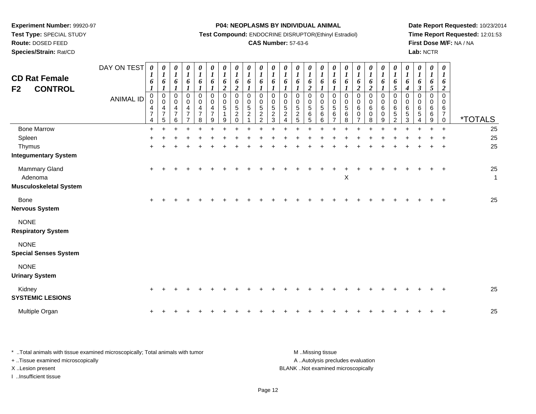**Test Type:** SPECIAL STUDY

**Route:** DOSED FEED

**Species/Strain:** Rat/CD

#### **P04: NEOPLASMS BY INDIVIDUAL ANIMAL**

**Test Compound:** ENDOCRINE DISRUPTOR(Ethinyl Estradiol)

# **CAS Number:** 57-63-6

**Date Report Requested:** 10/23/2014**Time Report Requested:** 12:01:53**First Dose M/F:** NA / NA**Lab:** NCTR

| <b>CD Rat Female</b><br><b>CONTROL</b><br>F <sub>2</sub> | DAY ON TEST<br><b>ANIMAL ID</b> | $\boldsymbol{\theta}$<br>$\boldsymbol{l}$<br>6<br>$\boldsymbol{l}$<br>$\pmb{0}$<br>0<br>$\frac{4}{7}$<br>4 | 0<br>$\boldsymbol{l}$<br>6<br>$\boldsymbol{l}$<br>0<br>0<br>$\frac{4}{7}$<br>5 | $\pmb{\theta}$<br>$\boldsymbol{l}$<br>6<br>$\boldsymbol{l}$<br>$\mathbf 0$<br>$\mathbf 0$<br>4<br>$\overline{7}$<br>6 | 0<br>$\boldsymbol{l}$<br>6<br>$\boldsymbol{l}$<br>0<br>0<br>4<br>$\overline{7}$ | $\pmb{\theta}$<br>$\boldsymbol{l}$<br>6<br>$\boldsymbol{l}$<br>$\pmb{0}$<br>$\mathbf 0$<br>4<br>$\overline{7}$<br>8 | $\pmb{\theta}$<br>$\boldsymbol{l}$<br>6<br>$\boldsymbol{l}$<br>$\pmb{0}$<br>$\mathbf 0$<br>4<br>$\overline{7}$<br>9 | 0<br>$\boldsymbol{l}$<br>6<br>$\boldsymbol{2}$<br>$\pmb{0}$<br>$\mathbf 0$<br>$\overline{5}$<br>1<br>9 | $\pmb{\theta}$<br>$\boldsymbol{l}$<br>6<br>$\overline{2}$<br>$\mathbf 0$<br>0<br>$\sqrt{5}$<br>$\boldsymbol{2}$<br>0 | $\pmb{\theta}$<br>$\boldsymbol{l}$<br>6<br>$\boldsymbol{l}$<br>$\Omega$<br>0<br>$\sqrt{5}$<br>$\overline{2}$ | $\boldsymbol{\theta}$<br>$\boldsymbol{l}$<br>6<br>1<br>$\Omega$<br>$\mathbf 0$<br>$\sqrt{5}$<br>$\sqrt{2}$<br>$\mathcal{P}$ | 0<br>$\boldsymbol{l}$<br>6<br>$\Omega$<br>$\mathbf 0$<br>5<br>$\overline{c}$<br>3 | $\pmb{\theta}$<br>$\boldsymbol{l}$<br>6<br>$\boldsymbol{l}$<br>$\mathbf 0$<br>0<br>$\,$ 5 $\,$<br>$\boldsymbol{2}$<br>4 | $\pmb{\theta}$<br>$\boldsymbol{l}$<br>6<br>$\boldsymbol{l}$<br>$\mathbf 0$<br>$\mathbf 0$<br>$\sqrt{5}$<br>$\boldsymbol{2}$<br>5 | 0<br>$\boldsymbol{l}$<br>6<br>$\boldsymbol{2}$<br>$\pmb{0}$<br>$\pmb{0}$<br>$\sqrt{5}$<br>6<br>5 | $\boldsymbol{\theta}$<br>$\boldsymbol{l}$<br>6<br>$\boldsymbol{l}$<br>$\pmb{0}$<br>$\boldsymbol{0}$<br>$\sqrt{5}$<br>6<br>6 | 0<br>$\boldsymbol{l}$<br>6<br>0<br>0<br>5<br>6 | $\pmb{\theta}$<br>$\boldsymbol{l}$<br>6<br>1<br>$\mathbf 0$<br>0<br>$\sqrt{5}$<br>6<br>8 | 0<br>$\boldsymbol{l}$<br>6<br>$\boldsymbol{2}$<br>$\mathbf 0$<br>0<br>6<br>$\mathbf 0$ | $\pmb{\theta}$<br>$\boldsymbol{l}$<br>6<br>$\overline{2}$<br>0<br>$\pmb{0}$<br>6<br>$\mathbf 0$<br>8 | 0<br>$\boldsymbol{l}$<br>6<br>$\boldsymbol{l}$<br>$\mathbf 0$<br>$\mathbf 0$<br>6<br>$\mathbf 0$<br>9 | 0<br>$\boldsymbol{l}$<br>6<br>5<br>$\pmb{0}$<br>0<br>6<br>5<br>2 | $\boldsymbol{\theta}$<br>$\boldsymbol{l}$<br>6<br>4<br>0<br>$\mathbf 0$<br>6<br>5<br>3 | $\pmb{\theta}$<br>$\boldsymbol{l}$<br>6<br>$\boldsymbol{\beta}$<br>$\Omega$<br>0<br>6<br>5<br>$\overline{4}$ | $\boldsymbol{\theta}$<br>$\boldsymbol{l}$<br>6<br>$\mathfrak{s}$<br>$\Omega$<br>0<br>6<br>6<br>9 | 0<br>$\boldsymbol{l}$<br>6<br>$\boldsymbol{2}$<br>$\Omega$<br>$\mathbf 0$<br>6<br>$\overline{7}$<br>0 | <i><b>*TOTALS</b></i> |
|----------------------------------------------------------|---------------------------------|------------------------------------------------------------------------------------------------------------|--------------------------------------------------------------------------------|-----------------------------------------------------------------------------------------------------------------------|---------------------------------------------------------------------------------|---------------------------------------------------------------------------------------------------------------------|---------------------------------------------------------------------------------------------------------------------|--------------------------------------------------------------------------------------------------------|----------------------------------------------------------------------------------------------------------------------|--------------------------------------------------------------------------------------------------------------|-----------------------------------------------------------------------------------------------------------------------------|-----------------------------------------------------------------------------------|-------------------------------------------------------------------------------------------------------------------------|----------------------------------------------------------------------------------------------------------------------------------|--------------------------------------------------------------------------------------------------|-----------------------------------------------------------------------------------------------------------------------------|------------------------------------------------|------------------------------------------------------------------------------------------|----------------------------------------------------------------------------------------|------------------------------------------------------------------------------------------------------|-------------------------------------------------------------------------------------------------------|------------------------------------------------------------------|----------------------------------------------------------------------------------------|--------------------------------------------------------------------------------------------------------------|--------------------------------------------------------------------------------------------------|-------------------------------------------------------------------------------------------------------|-----------------------|
| <b>Bone Marrow</b>                                       |                                 | $\ddot{}$                                                                                                  | $\ddot{}$                                                                      |                                                                                                                       | +                                                                               |                                                                                                                     |                                                                                                                     | ÷                                                                                                      | $\ddot{}$                                                                                                            |                                                                                                              |                                                                                                                             |                                                                                   |                                                                                                                         |                                                                                                                                  | ÷                                                                                                | ÷                                                                                                                           |                                                |                                                                                          |                                                                                        |                                                                                                      |                                                                                                       | $\ddot{}$                                                        | ÷                                                                                      | ÷                                                                                                            | ÷                                                                                                | $\overline{+}$                                                                                        | 25                    |
| Spleen                                                   |                                 |                                                                                                            |                                                                                |                                                                                                                       |                                                                                 |                                                                                                                     |                                                                                                                     |                                                                                                        |                                                                                                                      |                                                                                                              |                                                                                                                             |                                                                                   |                                                                                                                         |                                                                                                                                  |                                                                                                  |                                                                                                                             |                                                |                                                                                          |                                                                                        |                                                                                                      |                                                                                                       |                                                                  |                                                                                        |                                                                                                              |                                                                                                  |                                                                                                       | 25                    |
| Thymus<br><b>Integumentary System</b>                    |                                 |                                                                                                            |                                                                                |                                                                                                                       |                                                                                 |                                                                                                                     |                                                                                                                     |                                                                                                        |                                                                                                                      |                                                                                                              |                                                                                                                             |                                                                                   |                                                                                                                         |                                                                                                                                  |                                                                                                  |                                                                                                                             |                                                |                                                                                          |                                                                                        |                                                                                                      |                                                                                                       |                                                                  |                                                                                        |                                                                                                              |                                                                                                  |                                                                                                       | 25                    |
| Mammary Gland<br>Adenoma                                 |                                 | $\ddot{}$                                                                                                  |                                                                                |                                                                                                                       |                                                                                 |                                                                                                                     |                                                                                                                     |                                                                                                        |                                                                                                                      |                                                                                                              |                                                                                                                             |                                                                                   |                                                                                                                         |                                                                                                                                  |                                                                                                  |                                                                                                                             |                                                | X                                                                                        |                                                                                        |                                                                                                      |                                                                                                       |                                                                  |                                                                                        |                                                                                                              |                                                                                                  | $\ddot{}$                                                                                             | 25<br>$\mathbf{1}$    |
| <b>Musculoskeletal System</b>                            |                                 |                                                                                                            |                                                                                |                                                                                                                       |                                                                                 |                                                                                                                     |                                                                                                                     |                                                                                                        |                                                                                                                      |                                                                                                              |                                                                                                                             |                                                                                   |                                                                                                                         |                                                                                                                                  |                                                                                                  |                                                                                                                             |                                                |                                                                                          |                                                                                        |                                                                                                      |                                                                                                       |                                                                  |                                                                                        |                                                                                                              |                                                                                                  |                                                                                                       |                       |
| <b>Bone</b><br><b>Nervous System</b>                     |                                 |                                                                                                            |                                                                                |                                                                                                                       |                                                                                 |                                                                                                                     |                                                                                                                     |                                                                                                        |                                                                                                                      |                                                                                                              |                                                                                                                             |                                                                                   |                                                                                                                         |                                                                                                                                  |                                                                                                  |                                                                                                                             |                                                |                                                                                          |                                                                                        |                                                                                                      |                                                                                                       |                                                                  |                                                                                        |                                                                                                              |                                                                                                  |                                                                                                       | 25                    |
| <b>NONE</b><br><b>Respiratory System</b>                 |                                 |                                                                                                            |                                                                                |                                                                                                                       |                                                                                 |                                                                                                                     |                                                                                                                     |                                                                                                        |                                                                                                                      |                                                                                                              |                                                                                                                             |                                                                                   |                                                                                                                         |                                                                                                                                  |                                                                                                  |                                                                                                                             |                                                |                                                                                          |                                                                                        |                                                                                                      |                                                                                                       |                                                                  |                                                                                        |                                                                                                              |                                                                                                  |                                                                                                       |                       |
| <b>NONE</b><br><b>Special Senses System</b>              |                                 |                                                                                                            |                                                                                |                                                                                                                       |                                                                                 |                                                                                                                     |                                                                                                                     |                                                                                                        |                                                                                                                      |                                                                                                              |                                                                                                                             |                                                                                   |                                                                                                                         |                                                                                                                                  |                                                                                                  |                                                                                                                             |                                                |                                                                                          |                                                                                        |                                                                                                      |                                                                                                       |                                                                  |                                                                                        |                                                                                                              |                                                                                                  |                                                                                                       |                       |
| <b>NONE</b><br><b>Urinary System</b>                     |                                 |                                                                                                            |                                                                                |                                                                                                                       |                                                                                 |                                                                                                                     |                                                                                                                     |                                                                                                        |                                                                                                                      |                                                                                                              |                                                                                                                             |                                                                                   |                                                                                                                         |                                                                                                                                  |                                                                                                  |                                                                                                                             |                                                |                                                                                          |                                                                                        |                                                                                                      |                                                                                                       |                                                                  |                                                                                        |                                                                                                              |                                                                                                  |                                                                                                       |                       |
| Kidney<br><b>SYSTEMIC LESIONS</b>                        |                                 | +                                                                                                          |                                                                                |                                                                                                                       |                                                                                 |                                                                                                                     |                                                                                                                     |                                                                                                        |                                                                                                                      |                                                                                                              |                                                                                                                             |                                                                                   |                                                                                                                         |                                                                                                                                  |                                                                                                  |                                                                                                                             |                                                |                                                                                          |                                                                                        |                                                                                                      |                                                                                                       |                                                                  |                                                                                        |                                                                                                              |                                                                                                  |                                                                                                       | 25                    |
| Multiple Organ                                           |                                 |                                                                                                            |                                                                                |                                                                                                                       |                                                                                 |                                                                                                                     |                                                                                                                     |                                                                                                        |                                                                                                                      |                                                                                                              |                                                                                                                             |                                                                                   |                                                                                                                         |                                                                                                                                  |                                                                                                  |                                                                                                                             |                                                |                                                                                          |                                                                                        |                                                                                                      |                                                                                                       |                                                                  |                                                                                        |                                                                                                              |                                                                                                  |                                                                                                       | 25                    |

| Total animals with tissue examined microscopically; Total animals with tumor | M Missing tissue                   |
|------------------------------------------------------------------------------|------------------------------------|
| + Tissue examined microscopically                                            | A Autolysis precludes evaluation   |
| X Lesion present                                                             | BLANK Not examined microscopically |
| …Insufficient tissue                                                         |                                    |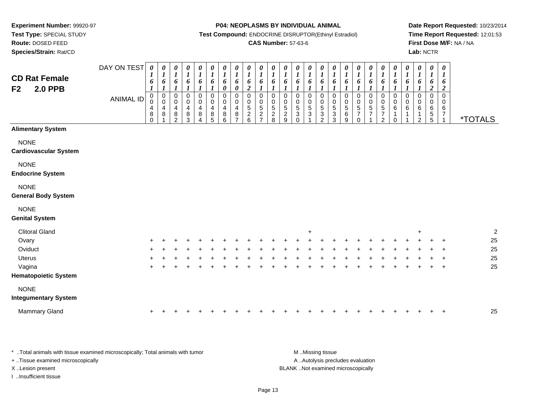**Route:** DOSED FEED

**Species/Strain:** Rat/CD

#### **P04: NEOPLASMS BY INDIVIDUAL ANIMAL**

**Test Compound:** ENDOCRINE DISRUPTOR(Ethinyl Estradiol)

### **CAS Number:** 57-63-6

**Date Report Requested:** 10/23/2014**Time Report Requested:** 12:01:53**First Dose M/F:** NA / NA**Lab:** NCTR

| <b>CD Rat Female</b><br><b>2.0 PPB</b><br>F <sub>2</sub> | DAY ON TEST<br><b>ANIMAL ID</b> | $\boldsymbol{\theta}$<br>6<br>$\pmb{0}$<br>$\mathsf 0$<br>$\overline{4}$<br>$\bf 8$<br>$\mathbf 0$ | $\pmb{\theta}$<br>$\boldsymbol{l}$<br>6<br>$\boldsymbol{l}$<br>$\overline{0}$<br>$\pmb{0}$<br>$\overline{4}$<br>$\bf 8$<br>1 | $\pmb{\theta}$<br>$\boldsymbol{l}$<br>6<br>1<br>$\pmb{0}$<br>0<br>$\overline{4}$<br>8<br>$\overline{2}$ | $\pmb{\theta}$<br>$\boldsymbol{l}$<br>6<br>1<br>$\pmb{0}$<br>0<br>4<br>8<br>$\mathbf{3}$ | 0<br>$\boldsymbol{l}$<br>6<br>$\mathsf 0$<br>$\pmb{0}$<br>$\overline{\mathbf{4}}$<br>$\bf 8$<br>4 | $\pmb{\theta}$<br>$\boldsymbol{l}$<br>6<br>$\pmb{0}$<br>$\pmb{0}$<br>$\overline{\mathbf{4}}$<br>8<br>5 | $\pmb{\theta}$<br>$\boldsymbol{l}$<br>6<br>$\boldsymbol{\theta}$<br>$\pmb{0}$<br>0<br>$\overline{a}$<br>$\bf 8$<br>$\,6\,$ | 0<br>$\boldsymbol{l}$<br>6<br>$\pmb{\theta}$<br>$\pmb{0}$<br>0<br>4<br>8<br>$\overline{7}$ | $\pmb{\theta}$<br>$\boldsymbol{l}$<br>6<br>$\boldsymbol{2}$<br>$\pmb{0}$<br>0<br>$5\,$<br>$\sqrt{2}$<br>$\,6\,$ | $\pmb{\theta}$<br>$\boldsymbol{l}$<br>6<br>$\pmb{0}$<br>0<br>5<br>$\boldsymbol{2}$<br>$\overline{7}$ | $\pmb{\theta}$<br>$\boldsymbol{l}$<br>6<br>0<br>0<br>$\sqrt{5}$<br>$\sqrt{2}$<br>8 | $\pmb{\theta}$<br>1<br>6<br>1<br>0<br>0<br>$\sqrt{5}$<br>$\boldsymbol{2}$<br>$\boldsymbol{9}$ | $\pmb{\theta}$<br>$\boldsymbol{l}$<br>6<br>1<br>$\boldsymbol{0}$<br>$\pmb{0}$<br>$\sqrt{5}$<br>$\mathbf{3}$<br>$\mathbf 0$ | $\pmb{\theta}$<br>$\boldsymbol{l}$<br>6<br>1<br>$\mathbf 0$<br>0<br>$\sqrt{5}$<br>$\sqrt{3}$ | $\pmb{\theta}$<br>$\boldsymbol{l}$<br>6<br>$\mathbf 0$<br>$\boldsymbol{0}$<br>$\sqrt{5}$<br>$\sqrt{3}$<br>$\overline{c}$ | $\pmb{\theta}$<br>$\boldsymbol{l}$<br>6<br>$\mathbf 0$<br>0<br>$\sqrt{5}$<br>3<br>3 | $\pmb{\theta}$<br>$\boldsymbol{l}$<br>6<br>$\pmb{0}$<br>$\begin{array}{c} 0 \\ 5 \end{array}$<br>$\,6\,$<br>$\boldsymbol{9}$ | 0<br>$\boldsymbol{l}$<br>6<br>0<br>$\begin{array}{c} 0 \\ 5 \end{array}$<br>$\overline{7}$<br>0 | 0<br>$\boldsymbol{l}$<br>6<br>1<br>0<br>$\begin{array}{c} 0 \\ 5 \end{array}$<br>$\overline{7}$ | $\pmb{\theta}$<br>$\boldsymbol{l}$<br>$\pmb{6}$<br>$\boldsymbol{l}$<br>$\pmb{0}$<br>$\pmb{0}$<br>$\overline{5}$<br>$\boldsymbol{7}$<br>$\overline{2}$ | 0<br>$\boldsymbol{l}$<br>6<br>$\pmb{0}$<br>0<br>6<br>0 | $\pmb{\theta}$<br>$\boldsymbol{l}$<br>6<br>$\mathbf 0$<br>0<br>6 | $\pmb{\theta}$<br>$\boldsymbol{l}$<br>6<br>$\mathsf 0$<br>0<br>6<br>1<br>$\overline{2}$ | $\pmb{\theta}$<br>1<br>6<br>$\overline{c}$<br>0<br>0<br>6<br>$\sqrt{5}$<br>5 | $\pmb{\theta}$<br>$\bm{l}$<br>6<br>$\overline{2}$<br>$\mathbf 0$<br>0<br>6<br>$\boldsymbol{7}$<br>$\mathbf{1}$ | <i><b>*TOTALS</b></i> |  |
|----------------------------------------------------------|---------------------------------|----------------------------------------------------------------------------------------------------|------------------------------------------------------------------------------------------------------------------------------|---------------------------------------------------------------------------------------------------------|------------------------------------------------------------------------------------------|---------------------------------------------------------------------------------------------------|--------------------------------------------------------------------------------------------------------|----------------------------------------------------------------------------------------------------------------------------|--------------------------------------------------------------------------------------------|-----------------------------------------------------------------------------------------------------------------|------------------------------------------------------------------------------------------------------|------------------------------------------------------------------------------------|-----------------------------------------------------------------------------------------------|----------------------------------------------------------------------------------------------------------------------------|----------------------------------------------------------------------------------------------|--------------------------------------------------------------------------------------------------------------------------|-------------------------------------------------------------------------------------|------------------------------------------------------------------------------------------------------------------------------|-------------------------------------------------------------------------------------------------|-------------------------------------------------------------------------------------------------|-------------------------------------------------------------------------------------------------------------------------------------------------------|--------------------------------------------------------|------------------------------------------------------------------|-----------------------------------------------------------------------------------------|------------------------------------------------------------------------------|----------------------------------------------------------------------------------------------------------------|-----------------------|--|
| <b>Alimentary System</b>                                 |                                 |                                                                                                    |                                                                                                                              |                                                                                                         |                                                                                          |                                                                                                   |                                                                                                        |                                                                                                                            |                                                                                            |                                                                                                                 |                                                                                                      |                                                                                    |                                                                                               |                                                                                                                            |                                                                                              |                                                                                                                          |                                                                                     |                                                                                                                              |                                                                                                 |                                                                                                 |                                                                                                                                                       |                                                        |                                                                  |                                                                                         |                                                                              |                                                                                                                |                       |  |
| <b>NONE</b><br><b>Cardiovascular System</b>              |                                 |                                                                                                    |                                                                                                                              |                                                                                                         |                                                                                          |                                                                                                   |                                                                                                        |                                                                                                                            |                                                                                            |                                                                                                                 |                                                                                                      |                                                                                    |                                                                                               |                                                                                                                            |                                                                                              |                                                                                                                          |                                                                                     |                                                                                                                              |                                                                                                 |                                                                                                 |                                                                                                                                                       |                                                        |                                                                  |                                                                                         |                                                                              |                                                                                                                |                       |  |
| <b>NONE</b><br><b>Endocrine System</b>                   |                                 |                                                                                                    |                                                                                                                              |                                                                                                         |                                                                                          |                                                                                                   |                                                                                                        |                                                                                                                            |                                                                                            |                                                                                                                 |                                                                                                      |                                                                                    |                                                                                               |                                                                                                                            |                                                                                              |                                                                                                                          |                                                                                     |                                                                                                                              |                                                                                                 |                                                                                                 |                                                                                                                                                       |                                                        |                                                                  |                                                                                         |                                                                              |                                                                                                                |                       |  |
| <b>NONE</b><br><b>General Body System</b>                |                                 |                                                                                                    |                                                                                                                              |                                                                                                         |                                                                                          |                                                                                                   |                                                                                                        |                                                                                                                            |                                                                                            |                                                                                                                 |                                                                                                      |                                                                                    |                                                                                               |                                                                                                                            |                                                                                              |                                                                                                                          |                                                                                     |                                                                                                                              |                                                                                                 |                                                                                                 |                                                                                                                                                       |                                                        |                                                                  |                                                                                         |                                                                              |                                                                                                                |                       |  |
| <b>NONE</b><br><b>Genital System</b>                     |                                 |                                                                                                    |                                                                                                                              |                                                                                                         |                                                                                          |                                                                                                   |                                                                                                        |                                                                                                                            |                                                                                            |                                                                                                                 |                                                                                                      |                                                                                    |                                                                                               |                                                                                                                            |                                                                                              |                                                                                                                          |                                                                                     |                                                                                                                              |                                                                                                 |                                                                                                 |                                                                                                                                                       |                                                        |                                                                  |                                                                                         |                                                                              |                                                                                                                |                       |  |
| <b>Clitoral Gland</b>                                    |                                 |                                                                                                    |                                                                                                                              |                                                                                                         |                                                                                          |                                                                                                   |                                                                                                        |                                                                                                                            |                                                                                            |                                                                                                                 |                                                                                                      |                                                                                    |                                                                                               |                                                                                                                            | $\ddot{}$                                                                                    |                                                                                                                          |                                                                                     |                                                                                                                              |                                                                                                 |                                                                                                 |                                                                                                                                                       |                                                        |                                                                  | $\ddot{}$                                                                               |                                                                              |                                                                                                                | $\overline{2}$        |  |
| Ovary                                                    |                                 |                                                                                                    |                                                                                                                              |                                                                                                         |                                                                                          |                                                                                                   |                                                                                                        |                                                                                                                            |                                                                                            |                                                                                                                 |                                                                                                      |                                                                                    |                                                                                               |                                                                                                                            |                                                                                              |                                                                                                                          |                                                                                     |                                                                                                                              |                                                                                                 |                                                                                                 |                                                                                                                                                       |                                                        |                                                                  |                                                                                         |                                                                              |                                                                                                                | 25                    |  |
| Oviduct                                                  |                                 |                                                                                                    |                                                                                                                              |                                                                                                         |                                                                                          |                                                                                                   |                                                                                                        |                                                                                                                            |                                                                                            |                                                                                                                 |                                                                                                      |                                                                                    |                                                                                               |                                                                                                                            |                                                                                              |                                                                                                                          |                                                                                     |                                                                                                                              |                                                                                                 |                                                                                                 |                                                                                                                                                       |                                                        |                                                                  |                                                                                         |                                                                              | ÷                                                                                                              | 25                    |  |
| <b>Uterus</b>                                            |                                 |                                                                                                    |                                                                                                                              |                                                                                                         |                                                                                          |                                                                                                   |                                                                                                        |                                                                                                                            |                                                                                            |                                                                                                                 |                                                                                                      |                                                                                    |                                                                                               |                                                                                                                            |                                                                                              |                                                                                                                          |                                                                                     |                                                                                                                              |                                                                                                 |                                                                                                 |                                                                                                                                                       |                                                        |                                                                  |                                                                                         |                                                                              | $\ddot{}$                                                                                                      | 25<br>25              |  |
| Vagina<br><b>Hematopoietic System</b>                    |                                 |                                                                                                    |                                                                                                                              |                                                                                                         |                                                                                          |                                                                                                   |                                                                                                        |                                                                                                                            |                                                                                            |                                                                                                                 |                                                                                                      |                                                                                    |                                                                                               |                                                                                                                            |                                                                                              |                                                                                                                          |                                                                                     |                                                                                                                              |                                                                                                 |                                                                                                 |                                                                                                                                                       |                                                        |                                                                  |                                                                                         |                                                                              | $\ddot{}$                                                                                                      |                       |  |
| <b>NONE</b>                                              |                                 |                                                                                                    |                                                                                                                              |                                                                                                         |                                                                                          |                                                                                                   |                                                                                                        |                                                                                                                            |                                                                                            |                                                                                                                 |                                                                                                      |                                                                                    |                                                                                               |                                                                                                                            |                                                                                              |                                                                                                                          |                                                                                     |                                                                                                                              |                                                                                                 |                                                                                                 |                                                                                                                                                       |                                                        |                                                                  |                                                                                         |                                                                              |                                                                                                                |                       |  |
| <b>Integumentary System</b>                              |                                 |                                                                                                    |                                                                                                                              |                                                                                                         |                                                                                          |                                                                                                   |                                                                                                        |                                                                                                                            |                                                                                            |                                                                                                                 |                                                                                                      |                                                                                    |                                                                                               |                                                                                                                            |                                                                                              |                                                                                                                          |                                                                                     |                                                                                                                              |                                                                                                 |                                                                                                 |                                                                                                                                                       |                                                        |                                                                  |                                                                                         |                                                                              |                                                                                                                |                       |  |
| <b>Mammary Gland</b>                                     |                                 |                                                                                                    |                                                                                                                              |                                                                                                         |                                                                                          |                                                                                                   |                                                                                                        |                                                                                                                            |                                                                                            |                                                                                                                 |                                                                                                      |                                                                                    |                                                                                               |                                                                                                                            |                                                                                              |                                                                                                                          |                                                                                     |                                                                                                                              |                                                                                                 |                                                                                                 |                                                                                                                                                       |                                                        |                                                                  |                                                                                         |                                                                              | $\div$                                                                                                         | 25                    |  |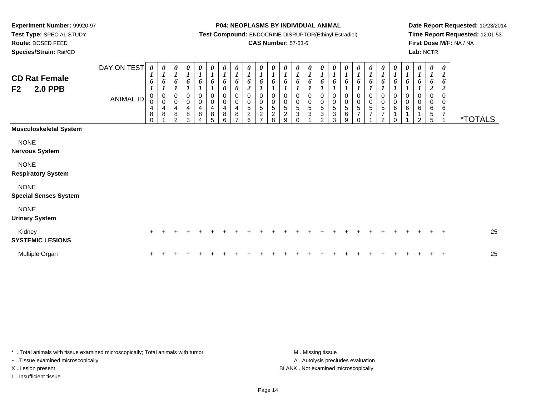**Route:** DOSED FEED

**Species/Strain:** Rat/CD

#### **P04: NEOPLASMS BY INDIVIDUAL ANIMAL**

**Test Compound:** ENDOCRINE DISRUPTOR(Ethinyl Estradiol)

### **CAS Number:** 57-63-6

**Date Report Requested:** 10/23/2014**Time Report Requested:** 12:01:53**First Dose M/F:** NA / NA**Lab:** NCTR

| <b>CD Rat Female</b><br><b>2.0 PPB</b><br>F <sub>2</sub> | DAY ON TEST<br><b>ANIMAL ID</b> | 0<br>6<br>$\,0\,$<br>$\pmb{0}$<br>$\overline{\mathbf{4}}$<br>$\bf8$<br>$\Omega$ | 0<br>$\boldsymbol{l}$<br>6<br>$\begin{smallmatrix} 0\\0 \end{smallmatrix}$<br>$\overline{4}$<br>$\,8\,$ | 0<br>1<br>6<br>0<br>$\pmb{0}$<br>4<br>$\bf 8$<br>$\mathfrak{p}$ | 0<br>6<br>0<br>$\pmb{0}$<br>4<br>8<br>3 | 0<br>$\boldsymbol{l}$<br>6<br>0<br>$\pmb{0}$<br>$\overline{4}$<br>8<br>$\Delta$ | 0<br>$\boldsymbol{l}$<br>6<br>0<br>$\pmb{0}$<br>$\overline{\mathbf{4}}$<br>$\bf 8$<br>5 | 0<br>$\boldsymbol{l}$<br>6<br>0<br>$\pmb{0}$<br>$\overline{\mathbf{4}}$<br>$\bf 8$<br>6 | 0<br>$\boldsymbol{l}$<br>6<br>0<br>0<br>$\mathbf 0$<br>$\overline{\mathbf{4}}$<br>$\bf8$<br>$\overline{ }$ | 0<br>$\boldsymbol{l}$<br>6<br>$\boldsymbol{2}$<br>0<br>$\pmb{0}$<br>$\,$ 5 $\,$<br>$\frac{2}{6}$ | 0<br>$\boldsymbol{l}$<br>6<br>0<br>$\pmb{0}$<br>5<br>$\boldsymbol{2}$<br>$\overline{ }$ | $\boldsymbol{\theta}$<br>6<br>0<br>$\,0\,$<br>$\sqrt{5}$<br>$\boldsymbol{2}$<br>8 | $\boldsymbol{\theta}$<br>6<br>0<br>$\pmb{0}$<br>5<br>$\frac{2}{9}$ | 0<br>$\boldsymbol{l}$<br>6<br>0<br>$\pmb{0}$<br>$\sqrt{5}$<br>$\ensuremath{\mathsf{3}}$<br>$\Omega$ | 0<br>$\boldsymbol{l}$<br>6<br>0<br>$\pmb{0}$<br>$\sqrt{5}$<br>$\ensuremath{\mathsf{3}}$ | 0<br>$\boldsymbol{l}$<br>6<br>0<br>$\pmb{0}$<br>$\,$ 5 $\,$<br>$\ensuremath{\mathsf{3}}$<br>2 | $\boldsymbol{\theta}$<br>6<br>0<br>$\pmb{0}$<br>$\,$ 5 $\,$<br>$\sqrt{3}$<br>3 | 6<br>$\mathbf 0$<br>5<br>$\,6$<br>9 | $\boldsymbol{\theta}$<br>6<br>0<br>$\pmb{0}$<br>$\sqrt{5}$<br>7<br>$\Omega$ | $\boldsymbol{\theta}$<br>6<br>0<br>$\pmb{0}$<br>$5\,$<br>$\overline{7}$ | 0<br>$\boldsymbol{l}$<br>6<br>0<br>$\pmb{0}$<br>$\mathbf 5$<br>$\boldsymbol{7}$<br>2 | 0<br>$\boldsymbol{l}$<br>6<br>0<br>$\pmb{0}$<br>$\,6\,$<br>1<br>$\Omega$ | 0<br>6<br>0<br>0<br>$\,6$ | 0<br>1<br>6<br>$\Omega$<br>0<br>6<br>$\mathfrak{p}$ | 0<br>$\boldsymbol{l}$<br>o<br>0<br>6<br>5<br>5 | 0<br>$\mathbf{r}$<br>6<br>$\boldsymbol{2}$<br>$\mathbf 0$<br>0<br>$\,6$<br>7 | <i><b>*TOTALS</b></i> |
|----------------------------------------------------------|---------------------------------|---------------------------------------------------------------------------------|---------------------------------------------------------------------------------------------------------|-----------------------------------------------------------------|-----------------------------------------|---------------------------------------------------------------------------------|-----------------------------------------------------------------------------------------|-----------------------------------------------------------------------------------------|------------------------------------------------------------------------------------------------------------|--------------------------------------------------------------------------------------------------|-----------------------------------------------------------------------------------------|-----------------------------------------------------------------------------------|--------------------------------------------------------------------|-----------------------------------------------------------------------------------------------------|-----------------------------------------------------------------------------------------|-----------------------------------------------------------------------------------------------|--------------------------------------------------------------------------------|-------------------------------------|-----------------------------------------------------------------------------|-------------------------------------------------------------------------|--------------------------------------------------------------------------------------|--------------------------------------------------------------------------|---------------------------|-----------------------------------------------------|------------------------------------------------|------------------------------------------------------------------------------|-----------------------|
| <b>Musculoskeletal System</b>                            |                                 |                                                                                 |                                                                                                         |                                                                 |                                         |                                                                                 |                                                                                         |                                                                                         |                                                                                                            |                                                                                                  |                                                                                         |                                                                                   |                                                                    |                                                                                                     |                                                                                         |                                                                                               |                                                                                |                                     |                                                                             |                                                                         |                                                                                      |                                                                          |                           |                                                     |                                                |                                                                              |                       |
| <b>NONE</b><br><b>Nervous System</b>                     |                                 |                                                                                 |                                                                                                         |                                                                 |                                         |                                                                                 |                                                                                         |                                                                                         |                                                                                                            |                                                                                                  |                                                                                         |                                                                                   |                                                                    |                                                                                                     |                                                                                         |                                                                                               |                                                                                |                                     |                                                                             |                                                                         |                                                                                      |                                                                          |                           |                                                     |                                                |                                                                              |                       |
| <b>NONE</b><br><b>Respiratory System</b>                 |                                 |                                                                                 |                                                                                                         |                                                                 |                                         |                                                                                 |                                                                                         |                                                                                         |                                                                                                            |                                                                                                  |                                                                                         |                                                                                   |                                                                    |                                                                                                     |                                                                                         |                                                                                               |                                                                                |                                     |                                                                             |                                                                         |                                                                                      |                                                                          |                           |                                                     |                                                |                                                                              |                       |
| <b>NONE</b><br><b>Special Senses System</b>              |                                 |                                                                                 |                                                                                                         |                                                                 |                                         |                                                                                 |                                                                                         |                                                                                         |                                                                                                            |                                                                                                  |                                                                                         |                                                                                   |                                                                    |                                                                                                     |                                                                                         |                                                                                               |                                                                                |                                     |                                                                             |                                                                         |                                                                                      |                                                                          |                           |                                                     |                                                |                                                                              |                       |
| <b>NONE</b><br><b>Urinary System</b>                     |                                 |                                                                                 |                                                                                                         |                                                                 |                                         |                                                                                 |                                                                                         |                                                                                         |                                                                                                            |                                                                                                  |                                                                                         |                                                                                   |                                                                    |                                                                                                     |                                                                                         |                                                                                               |                                                                                |                                     |                                                                             |                                                                         |                                                                                      |                                                                          |                           |                                                     |                                                |                                                                              |                       |
| Kidney<br><b>SYSTEMIC LESIONS</b>                        |                                 | $+$                                                                             |                                                                                                         |                                                                 |                                         |                                                                                 |                                                                                         |                                                                                         |                                                                                                            |                                                                                                  |                                                                                         |                                                                                   |                                                                    |                                                                                                     |                                                                                         |                                                                                               |                                                                                |                                     |                                                                             |                                                                         |                                                                                      |                                                                          |                           |                                                     |                                                | $\ddot{}$                                                                    | 25                    |
| Multiple Organ                                           |                                 | $\pm$                                                                           |                                                                                                         |                                                                 |                                         |                                                                                 |                                                                                         |                                                                                         |                                                                                                            |                                                                                                  |                                                                                         |                                                                                   |                                                                    |                                                                                                     |                                                                                         |                                                                                               |                                                                                |                                     |                                                                             |                                                                         |                                                                                      |                                                                          |                           |                                                     |                                                | $\overline{1}$                                                               | 25                    |

\* ..Total animals with tissue examined microscopically; Total animals with tumor **M** . Missing tissue M ..Missing tissue

+ ..Tissue examined microscopically

I ..Insufficient tissue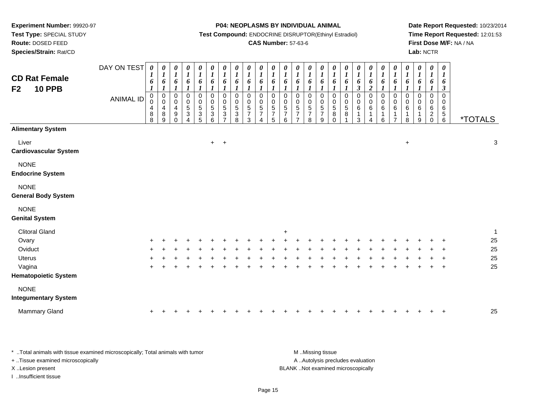**Test Type:** SPECIAL STUDY

**Route:** DOSED FEED

**Species/Strain:** Rat/CD

#### **P04: NEOPLASMS BY INDIVIDUAL ANIMAL**

**Test Compound:** ENDOCRINE DISRUPTOR(Ethinyl Estradiol)

### **CAS Number:** 57-63-6

**Date Report Requested:** 10/23/2014**Time Report Requested:** 12:01:53**First Dose M/F:** NA / NA**Lab:** NCTR

| <b>CD Rat Female</b><br><b>10 PPB</b><br>F <sub>2</sub> | DAY ON TEST<br><b>ANIMAL ID</b> | 0<br>1<br>6<br>1<br>$\mathbf 0$<br>0<br>4<br>8<br>8 | 0<br>$\bm{l}$<br>6<br>1<br>$\pmb{0}$<br>$\mathbf 0$<br>4<br>$\bf 8$<br>9 | 0<br>$\boldsymbol{l}$<br>6<br>$\boldsymbol{l}$<br>$\pmb{0}$<br>$\pmb{0}$<br>4<br>9<br>$\Omega$ | 0<br>$\boldsymbol{l}$<br>6<br>$\boldsymbol{l}$<br>0<br>$\pmb{0}$<br>$\mathbf 5$<br>$\sqrt{3}$<br>4 | 0<br>$\boldsymbol{l}$<br>6<br>$\boldsymbol{l}$<br>$\mathbf 0$<br>0<br>$\sqrt{5}$<br>$\mathbf{3}$<br>5 | $\boldsymbol{\theta}$<br>$\boldsymbol{l}$<br>6<br>$\mathbf{I}$<br>$\pmb{0}$<br>$\pmb{0}$<br>$\,$ 5 $\,$<br>$\sqrt{3}$<br>6 | $\boldsymbol{\theta}$<br>$\boldsymbol{l}$<br>6<br>1<br>$\mathbf 0$<br>0<br>5<br>3 | 0<br>$\boldsymbol{l}$<br>6<br>$\boldsymbol{l}$<br>$\mathbf 0$<br>$\mathbf 0$<br>$\mathbf 5$<br>$\ensuremath{\mathsf{3}}$<br>8 | $\boldsymbol{\theta}$<br>$\boldsymbol{l}$<br>6<br>$\boldsymbol{l}$<br>$\pmb{0}$<br>$\mathbf 0$<br>$\overline{5}$<br>$\overline{7}$<br>3 | $\begin{matrix} 0 \\ 1 \end{matrix}$<br>6<br>$\mathbf{I}$<br>$\mathbf 0$<br>$\begin{array}{c} 0 \\ 5 \\ 7 \end{array}$ | $\boldsymbol{\theta}$<br>$\boldsymbol{l}$<br>6<br>$\boldsymbol{l}$<br>$\pmb{0}$<br>$\mathbf 0$<br>$\frac{5}{7}$<br>5 | $\boldsymbol{\theta}$<br>$\boldsymbol{l}$<br>6<br>$\boldsymbol{l}$<br>0<br>$\pmb{0}$<br>$\sqrt{5}$<br>$\overline{7}$<br>6 | 0<br>$\boldsymbol{l}$<br>6<br>1<br>$\mathbf 0$<br>$\mathbf 0$<br>$\sqrt{5}$<br>$\overline{7}$<br>$\overline{7}$ | 0<br>$\boldsymbol{l}$<br>6<br>$\boldsymbol{l}$<br>$\pmb{0}$<br>$\pmb{0}$<br>$\sqrt{5}$<br>7<br>8 | $\boldsymbol{\theta}$<br>$\boldsymbol{l}$<br>6<br>$\boldsymbol{l}$<br>$\pmb{0}$<br>$\pmb{0}$<br>$\,$ 5 $\,$<br>$\overline{7}$<br>9 | 0<br>$\boldsymbol{l}$<br>6<br>$\boldsymbol{l}$<br>$\boldsymbol{0}$<br>$\mathbf 0$<br>$\sqrt{5}$<br>$\bf 8$<br>$\Omega$ | $\boldsymbol{\theta}$<br>$\boldsymbol{l}$<br>6<br>1<br>$\pmb{0}$<br>$\begin{array}{c} 0 \\ 5 \end{array}$<br>$\,8\,$ | 0<br>$\boldsymbol{I}$<br>6<br>$\boldsymbol{\mathfrak{z}}$<br>$\pmb{0}$<br>$\pmb{0}$<br>$\,6\,$<br>1<br>3 | 0<br>$\boldsymbol{l}$<br>6<br>$\boldsymbol{2}$<br>$\pmb{0}$<br>$\pmb{0}$<br>6<br>$\mathbf{1}$<br>4 | $\boldsymbol{\theta}$<br>$\boldsymbol{I}$<br>6<br>$\mathbf{I}$<br>$\pmb{0}$<br>$\boldsymbol{0}$<br>$\,6$<br>$\mathbf 1$<br>6 | 0<br>$\boldsymbol{l}$<br>6<br>$\mathbf 0$<br>$\pmb{0}$<br>6<br>1<br>7 | 0<br>$\boldsymbol{l}$<br>6<br>$\boldsymbol{l}$<br>$\mathbf 0$<br>0<br>6<br>$\mathbf{1}$<br>8 | 0<br>$\boldsymbol{l}$<br>6<br>$\boldsymbol{l}$<br>$\mathbf 0$<br>0<br>6<br>1<br>9 | $\boldsymbol{\theta}$<br>$\boldsymbol{l}$<br>6<br>$\mathbf 0$<br>0<br>$\,6$<br>$\overline{c}$<br>$\mathbf 0$ | $\boldsymbol{\theta}$<br>$\boldsymbol{l}$<br>6<br>$\boldsymbol{\beta}$<br>$\mathbf 0$<br>0<br>6<br>$\begin{array}{c} 5 \\ 6 \end{array}$ | <i><b>*TOTALS</b></i> |              |
|---------------------------------------------------------|---------------------------------|-----------------------------------------------------|--------------------------------------------------------------------------|------------------------------------------------------------------------------------------------|----------------------------------------------------------------------------------------------------|-------------------------------------------------------------------------------------------------------|----------------------------------------------------------------------------------------------------------------------------|-----------------------------------------------------------------------------------|-------------------------------------------------------------------------------------------------------------------------------|-----------------------------------------------------------------------------------------------------------------------------------------|------------------------------------------------------------------------------------------------------------------------|----------------------------------------------------------------------------------------------------------------------|---------------------------------------------------------------------------------------------------------------------------|-----------------------------------------------------------------------------------------------------------------|--------------------------------------------------------------------------------------------------|------------------------------------------------------------------------------------------------------------------------------------|------------------------------------------------------------------------------------------------------------------------|----------------------------------------------------------------------------------------------------------------------|----------------------------------------------------------------------------------------------------------|----------------------------------------------------------------------------------------------------|------------------------------------------------------------------------------------------------------------------------------|-----------------------------------------------------------------------|----------------------------------------------------------------------------------------------|-----------------------------------------------------------------------------------|--------------------------------------------------------------------------------------------------------------|------------------------------------------------------------------------------------------------------------------------------------------|-----------------------|--------------|
| <b>Alimentary System</b>                                |                                 |                                                     |                                                                          |                                                                                                |                                                                                                    |                                                                                                       |                                                                                                                            |                                                                                   |                                                                                                                               |                                                                                                                                         |                                                                                                                        |                                                                                                                      |                                                                                                                           |                                                                                                                 |                                                                                                  |                                                                                                                                    |                                                                                                                        |                                                                                                                      |                                                                                                          |                                                                                                    |                                                                                                                              |                                                                       |                                                                                              |                                                                                   |                                                                                                              |                                                                                                                                          |                       |              |
| Liver<br><b>Cardiovascular System</b>                   |                                 |                                                     |                                                                          |                                                                                                |                                                                                                    |                                                                                                       | $+$                                                                                                                        | $+$                                                                               |                                                                                                                               |                                                                                                                                         |                                                                                                                        |                                                                                                                      |                                                                                                                           |                                                                                                                 |                                                                                                  |                                                                                                                                    |                                                                                                                        |                                                                                                                      |                                                                                                          |                                                                                                    |                                                                                                                              |                                                                       | $\ddot{}$                                                                                    |                                                                                   |                                                                                                              |                                                                                                                                          |                       | $\sqrt{3}$   |
| <b>NONE</b><br><b>Endocrine System</b>                  |                                 |                                                     |                                                                          |                                                                                                |                                                                                                    |                                                                                                       |                                                                                                                            |                                                                                   |                                                                                                                               |                                                                                                                                         |                                                                                                                        |                                                                                                                      |                                                                                                                           |                                                                                                                 |                                                                                                  |                                                                                                                                    |                                                                                                                        |                                                                                                                      |                                                                                                          |                                                                                                    |                                                                                                                              |                                                                       |                                                                                              |                                                                                   |                                                                                                              |                                                                                                                                          |                       |              |
| <b>NONE</b><br><b>General Body System</b>               |                                 |                                                     |                                                                          |                                                                                                |                                                                                                    |                                                                                                       |                                                                                                                            |                                                                                   |                                                                                                                               |                                                                                                                                         |                                                                                                                        |                                                                                                                      |                                                                                                                           |                                                                                                                 |                                                                                                  |                                                                                                                                    |                                                                                                                        |                                                                                                                      |                                                                                                          |                                                                                                    |                                                                                                                              |                                                                       |                                                                                              |                                                                                   |                                                                                                              |                                                                                                                                          |                       |              |
| <b>NONE</b><br><b>Genital System</b>                    |                                 |                                                     |                                                                          |                                                                                                |                                                                                                    |                                                                                                       |                                                                                                                            |                                                                                   |                                                                                                                               |                                                                                                                                         |                                                                                                                        |                                                                                                                      |                                                                                                                           |                                                                                                                 |                                                                                                  |                                                                                                                                    |                                                                                                                        |                                                                                                                      |                                                                                                          |                                                                                                    |                                                                                                                              |                                                                       |                                                                                              |                                                                                   |                                                                                                              |                                                                                                                                          |                       |              |
| <b>Clitoral Gland</b>                                   |                                 |                                                     |                                                                          |                                                                                                |                                                                                                    |                                                                                                       |                                                                                                                            |                                                                                   |                                                                                                                               |                                                                                                                                         |                                                                                                                        |                                                                                                                      | $\ddot{}$                                                                                                                 |                                                                                                                 |                                                                                                  |                                                                                                                                    |                                                                                                                        |                                                                                                                      |                                                                                                          |                                                                                                    |                                                                                                                              |                                                                       |                                                                                              |                                                                                   |                                                                                                              |                                                                                                                                          |                       | $\mathbf{1}$ |
| Ovary                                                   |                                 |                                                     |                                                                          |                                                                                                |                                                                                                    |                                                                                                       |                                                                                                                            |                                                                                   |                                                                                                                               |                                                                                                                                         |                                                                                                                        |                                                                                                                      |                                                                                                                           |                                                                                                                 |                                                                                                  |                                                                                                                                    |                                                                                                                        |                                                                                                                      |                                                                                                          |                                                                                                    |                                                                                                                              |                                                                       |                                                                                              |                                                                                   |                                                                                                              |                                                                                                                                          |                       | 25           |
| Oviduct                                                 |                                 |                                                     |                                                                          |                                                                                                |                                                                                                    |                                                                                                       |                                                                                                                            |                                                                                   |                                                                                                                               |                                                                                                                                         |                                                                                                                        |                                                                                                                      |                                                                                                                           |                                                                                                                 |                                                                                                  |                                                                                                                                    |                                                                                                                        |                                                                                                                      |                                                                                                          |                                                                                                    |                                                                                                                              |                                                                       |                                                                                              |                                                                                   |                                                                                                              |                                                                                                                                          |                       | 25           |
| <b>Uterus</b>                                           |                                 |                                                     |                                                                          |                                                                                                |                                                                                                    |                                                                                                       |                                                                                                                            |                                                                                   |                                                                                                                               |                                                                                                                                         |                                                                                                                        |                                                                                                                      |                                                                                                                           |                                                                                                                 |                                                                                                  |                                                                                                                                    |                                                                                                                        |                                                                                                                      |                                                                                                          |                                                                                                    |                                                                                                                              |                                                                       |                                                                                              |                                                                                   |                                                                                                              |                                                                                                                                          |                       | 25           |
| Vagina                                                  |                                 |                                                     |                                                                          |                                                                                                |                                                                                                    |                                                                                                       |                                                                                                                            |                                                                                   |                                                                                                                               |                                                                                                                                         |                                                                                                                        |                                                                                                                      |                                                                                                                           |                                                                                                                 |                                                                                                  |                                                                                                                                    |                                                                                                                        |                                                                                                                      |                                                                                                          |                                                                                                    |                                                                                                                              |                                                                       |                                                                                              |                                                                                   |                                                                                                              | $\ddot{}$                                                                                                                                |                       | 25           |
| <b>Hematopoietic System</b>                             |                                 |                                                     |                                                                          |                                                                                                |                                                                                                    |                                                                                                       |                                                                                                                            |                                                                                   |                                                                                                                               |                                                                                                                                         |                                                                                                                        |                                                                                                                      |                                                                                                                           |                                                                                                                 |                                                                                                  |                                                                                                                                    |                                                                                                                        |                                                                                                                      |                                                                                                          |                                                                                                    |                                                                                                                              |                                                                       |                                                                                              |                                                                                   |                                                                                                              |                                                                                                                                          |                       |              |
| <b>NONE</b>                                             |                                 |                                                     |                                                                          |                                                                                                |                                                                                                    |                                                                                                       |                                                                                                                            |                                                                                   |                                                                                                                               |                                                                                                                                         |                                                                                                                        |                                                                                                                      |                                                                                                                           |                                                                                                                 |                                                                                                  |                                                                                                                                    |                                                                                                                        |                                                                                                                      |                                                                                                          |                                                                                                    |                                                                                                                              |                                                                       |                                                                                              |                                                                                   |                                                                                                              |                                                                                                                                          |                       |              |
| <b>Integumentary System</b>                             |                                 |                                                     |                                                                          |                                                                                                |                                                                                                    |                                                                                                       |                                                                                                                            |                                                                                   |                                                                                                                               |                                                                                                                                         |                                                                                                                        |                                                                                                                      |                                                                                                                           |                                                                                                                 |                                                                                                  |                                                                                                                                    |                                                                                                                        |                                                                                                                      |                                                                                                          |                                                                                                    |                                                                                                                              |                                                                       |                                                                                              |                                                                                   |                                                                                                              |                                                                                                                                          |                       |              |
| <b>Mammary Gland</b>                                    |                                 | $\ddot{}$                                           |                                                                          |                                                                                                |                                                                                                    |                                                                                                       |                                                                                                                            |                                                                                   |                                                                                                                               |                                                                                                                                         |                                                                                                                        |                                                                                                                      |                                                                                                                           |                                                                                                                 |                                                                                                  |                                                                                                                                    |                                                                                                                        |                                                                                                                      |                                                                                                          |                                                                                                    |                                                                                                                              |                                                                       |                                                                                              |                                                                                   |                                                                                                              | $\div$                                                                                                                                   |                       | 25           |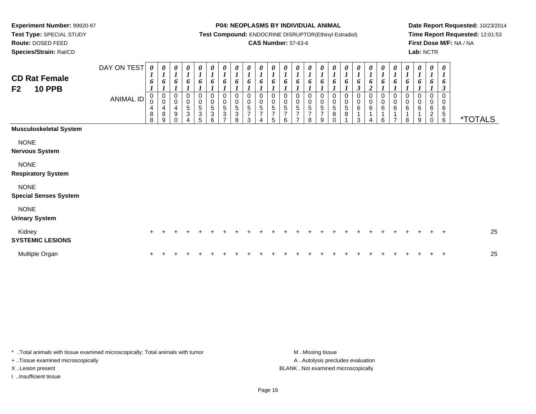**Test Type:** SPECIAL STUDY

**Route:** DOSED FEED**Species/Strain:** Rat/CD

#### **P04: NEOPLASMS BY INDIVIDUAL ANIMAL**

**Test Compound:** ENDOCRINE DISRUPTOR(Ethinyl Estradiol)

### **CAS Number:** 57-63-6

**Date Report Requested:** 10/23/2014**Time Report Requested:** 12:01:53**First Dose M/F:** NA / NA**Lab:** NCTR

| <b>CD Rat Female</b><br><b>10 PPB</b><br>F <sub>2</sub> | DAY ON TEST<br><b>ANIMAL ID</b> | 0<br>6<br>$\pmb{0}$<br>$\pmb{0}$<br>$\overline{4}$<br>$\bf 8$<br>8 | 0<br>$\boldsymbol{l}$<br>6<br>0<br>$\pmb{0}$<br>$\overline{4}$<br>8<br>9 | 0<br>$\boldsymbol{l}$<br>6<br>0<br>$\pmb{0}$<br>$\overline{\mathbf{4}}$<br>$\boldsymbol{9}$ | $\boldsymbol{\theta}$<br>$\boldsymbol{l}$<br>6<br>0<br>0<br>$\sqrt{5}$<br>$\sqrt{3}$ | 0<br>$\mathbf{I}$<br>6<br>0<br>0<br>$\overline{5}$<br>$\ensuremath{\mathsf{3}}$<br>5 | 0<br>$\boldsymbol{l}$<br>6<br>0<br>0<br>$\sqrt{5}$<br>$\ensuremath{\mathsf{3}}$<br>6 | $\pmb{\theta}$<br>$\boldsymbol{l}$<br>6<br>0<br>$\pmb{0}$<br>5<br>3<br>$\overline{7}$ | 0<br>$\boldsymbol{l}$<br>6<br>0<br>$\mathbf 0$<br>$\overline{5}$<br>$\ensuremath{\mathsf{3}}$<br>8 | $\frac{\boldsymbol{\theta}}{\boldsymbol{I}}$<br>6<br>0<br>$\mathbf 0$<br>5<br>$\overline{7}$<br>3 | 0<br>$\boldsymbol{l}$<br>6<br>0<br>0<br>$\sqrt{5}$<br>7 | 0<br>$\mathbf{I}$<br>6<br>0<br>0<br>5<br>$\overline{7}$<br>5 | 0<br>$\mathbf{I}$<br>6<br>0<br>0<br>5<br>$\overline{7}$<br>6 | 0<br>$\boldsymbol{l}$<br>6<br>0<br>0<br>5<br>$\overline{ }$<br>$\overline{ }$ | $\boldsymbol{\theta}$<br>$\boldsymbol{l}$<br>6<br>$\mathbf 0$<br>$\mathbf 0$<br>$\sqrt{5}$<br>$\overline{7}$<br>8 | 0<br>$\boldsymbol{l}$<br>6<br>0<br>$\pmb{0}$<br>$\sqrt{5}$<br>$\overline{7}$<br>9 | 0<br>$\boldsymbol{l}$<br>6<br>0<br>$\mathbf 0$<br>5<br>8<br>$\Omega$ | 0<br>$\boldsymbol{l}$<br>6<br>0<br>$\pmb{0}$<br>$\sqrt{5}$<br>$\bf8$ | $\boldsymbol{\theta}$<br>6<br>$\boldsymbol{\beta}$<br>0<br>0<br>6<br>1<br>3 | 0<br>$\mathbf{I}$<br>6<br>$\mathfrak{D}$<br>0<br>$\pmb{0}$<br>$\,6\,$ | 0<br>$\boldsymbol{l}$<br>6<br>0<br>0<br>$\,6\,$<br>6 | 0<br>$\boldsymbol{l}$<br>6<br>0<br>$\pmb{0}$<br>6<br>1<br>$\overline{ }$ | 0<br>$\boldsymbol{l}$<br>6<br>0<br>$\pmb{0}$<br>6<br>8 | 0<br>$\boldsymbol{l}$<br>6<br>0<br>0<br>6<br>9 | 0<br>$\boldsymbol{l}$<br>6<br>0<br>0<br>6<br>$\overline{c}$ | $\boldsymbol{\theta}$<br>$\boldsymbol{l}$<br>6<br>$\boldsymbol{\beta}$<br>$\mathbf 0$<br>0<br>6<br>$\,$ 5 $\,$<br>6 | <i><b>*TOTALS</b></i> |
|---------------------------------------------------------|---------------------------------|--------------------------------------------------------------------|--------------------------------------------------------------------------|---------------------------------------------------------------------------------------------|--------------------------------------------------------------------------------------|--------------------------------------------------------------------------------------|--------------------------------------------------------------------------------------|---------------------------------------------------------------------------------------|----------------------------------------------------------------------------------------------------|---------------------------------------------------------------------------------------------------|---------------------------------------------------------|--------------------------------------------------------------|--------------------------------------------------------------|-------------------------------------------------------------------------------|-------------------------------------------------------------------------------------------------------------------|-----------------------------------------------------------------------------------|----------------------------------------------------------------------|----------------------------------------------------------------------|-----------------------------------------------------------------------------|-----------------------------------------------------------------------|------------------------------------------------------|--------------------------------------------------------------------------|--------------------------------------------------------|------------------------------------------------|-------------------------------------------------------------|---------------------------------------------------------------------------------------------------------------------|-----------------------|
| <b>Musculoskeletal System</b>                           |                                 |                                                                    |                                                                          |                                                                                             |                                                                                      |                                                                                      |                                                                                      |                                                                                       |                                                                                                    |                                                                                                   |                                                         |                                                              |                                                              |                                                                               |                                                                                                                   |                                                                                   |                                                                      |                                                                      |                                                                             |                                                                       |                                                      |                                                                          |                                                        |                                                |                                                             |                                                                                                                     |                       |
| <b>NONE</b><br><b>Nervous System</b>                    |                                 |                                                                    |                                                                          |                                                                                             |                                                                                      |                                                                                      |                                                                                      |                                                                                       |                                                                                                    |                                                                                                   |                                                         |                                                              |                                                              |                                                                               |                                                                                                                   |                                                                                   |                                                                      |                                                                      |                                                                             |                                                                       |                                                      |                                                                          |                                                        |                                                |                                                             |                                                                                                                     |                       |
| <b>NONE</b><br><b>Respiratory System</b>                |                                 |                                                                    |                                                                          |                                                                                             |                                                                                      |                                                                                      |                                                                                      |                                                                                       |                                                                                                    |                                                                                                   |                                                         |                                                              |                                                              |                                                                               |                                                                                                                   |                                                                                   |                                                                      |                                                                      |                                                                             |                                                                       |                                                      |                                                                          |                                                        |                                                |                                                             |                                                                                                                     |                       |
| <b>NONE</b><br><b>Special Senses System</b>             |                                 |                                                                    |                                                                          |                                                                                             |                                                                                      |                                                                                      |                                                                                      |                                                                                       |                                                                                                    |                                                                                                   |                                                         |                                                              |                                                              |                                                                               |                                                                                                                   |                                                                                   |                                                                      |                                                                      |                                                                             |                                                                       |                                                      |                                                                          |                                                        |                                                |                                                             |                                                                                                                     |                       |
| <b>NONE</b><br><b>Urinary System</b>                    |                                 |                                                                    |                                                                          |                                                                                             |                                                                                      |                                                                                      |                                                                                      |                                                                                       |                                                                                                    |                                                                                                   |                                                         |                                                              |                                                              |                                                                               |                                                                                                                   |                                                                                   |                                                                      |                                                                      |                                                                             |                                                                       |                                                      |                                                                          |                                                        |                                                |                                                             |                                                                                                                     |                       |
| Kidney<br><b>SYSTEMIC LESIONS</b>                       |                                 | $\pm$                                                              |                                                                          |                                                                                             |                                                                                      |                                                                                      |                                                                                      |                                                                                       |                                                                                                    |                                                                                                   |                                                         |                                                              |                                                              |                                                                               |                                                                                                                   |                                                                                   |                                                                      |                                                                      |                                                                             |                                                                       |                                                      |                                                                          |                                                        |                                                |                                                             | $+$                                                                                                                 | 25                    |
| Multiple Organ                                          |                                 |                                                                    |                                                                          |                                                                                             |                                                                                      |                                                                                      |                                                                                      |                                                                                       |                                                                                                    |                                                                                                   |                                                         |                                                              |                                                              |                                                                               |                                                                                                                   |                                                                                   |                                                                      |                                                                      |                                                                             |                                                                       |                                                      |                                                                          |                                                        |                                                |                                                             | ÷                                                                                                                   | 25                    |

\* ..Total animals with tissue examined microscopically; Total animals with tumor **M** . Missing tissue M ..Missing tissue

+ ..Tissue examined microscopically

I ..Insufficient tissue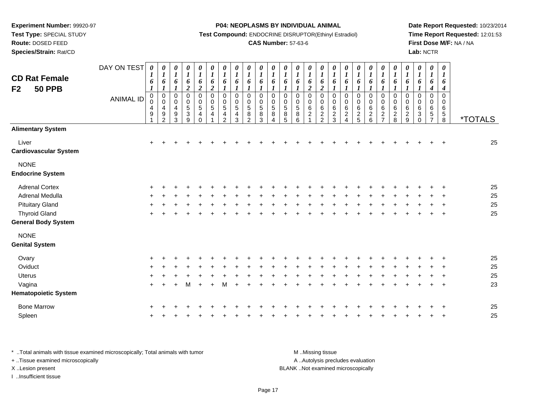**Test Type:** SPECIAL STUDY

# **Route:** DOSED FEED

**Species/Strain:** Rat/CD

#### **P04: NEOPLASMS BY INDIVIDUAL ANIMAL**

**Test Compound:** ENDOCRINE DISRUPTOR(Ethinyl Estradiol)

### **CAS Number:** 57-63-6

**Date Report Requested:** 10/23/2014**Time Report Requested:** 12:01:53**First Dose M/F:** NA / NA**Lab:** NCTR

| <b>CD Rat Female</b><br><b>50 PPB</b><br>F <sub>2</sub> | DAY ON TEST<br><b>ANIMAL ID</b> | $\boldsymbol{\theta}$<br>$\boldsymbol{l}$<br>6<br>$\boldsymbol{l}$<br>$\begin{smallmatrix} 0\\0 \end{smallmatrix}$<br>$\overline{4}$<br>9 | 0<br>$\boldsymbol{l}$<br>6<br>$\boldsymbol{l}$<br>$\pmb{0}$<br>$\mathbf 0$<br>4<br>$\boldsymbol{9}$<br>2 | $\pmb{\theta}$<br>$\boldsymbol{l}$<br>6<br>$\boldsymbol{l}$<br>$\pmb{0}$<br>0<br>4<br>9<br>3 | $\pmb{\theta}$<br>$\boldsymbol{l}$<br>6<br>$\boldsymbol{2}$<br>$\mathsf 0$<br>$\pmb{0}$<br>$\overline{5}$<br>$\ensuremath{\mathsf{3}}$<br>9 | 0<br>$\boldsymbol{l}$<br>6<br>$\overline{\mathbf{c}}$<br>0<br>$\pmb{0}$<br>$\overline{5}$<br>$\overline{\mathbf{4}}$<br>0 | $\pmb{\theta}$<br>$\boldsymbol{l}$<br>6<br>$\boldsymbol{2}$<br>$\,0\,$<br>$\,0\,$<br>5<br>$\overline{4}$ | $\pmb{\theta}$<br>$\boldsymbol{l}$<br>6<br>$\boldsymbol{I}$<br>$\pmb{0}$<br>$\pmb{0}$<br>$\overline{5}$<br>$\overline{4}$<br>2 | 0<br>$\boldsymbol{l}$<br>6<br>$\boldsymbol{l}$<br>$\pmb{0}$<br>0<br>5<br>4<br>3 | $\pmb{\theta}$<br>$\boldsymbol{l}$<br>6<br>$\boldsymbol{l}$<br>$\pmb{0}$<br>$\pmb{0}$<br>$\sqrt{5}$<br>8<br>2 | $\boldsymbol{\theta}$<br>$\boldsymbol{l}$<br>6<br>$\boldsymbol{l}$<br>$\mathbf 0$<br>0<br>$\sqrt{5}$<br>8<br>3 | $\pmb{\theta}$<br>$\boldsymbol{l}$<br>6<br>$\boldsymbol{l}$<br>$\mathsf 0$<br>$\pmb{0}$<br>$\overline{5}$<br>8<br>Δ | 0<br>$\boldsymbol{l}$<br>6<br>1<br>0<br>$\pmb{0}$<br>$\overline{5}$<br>$\,8\,$<br>5 | 0<br>$\boldsymbol{l}$<br>6<br>$\boldsymbol{l}$<br>0<br>$\pmb{0}$<br>$\overline{5}$<br>$\bf 8$<br>$6\phantom{a}$ | $\pmb{\theta}$<br>$\boldsymbol{l}$<br>6<br>$\boldsymbol{2}$<br>$\pmb{0}$<br>$\pmb{0}$<br>$\,6$<br>$\overline{2}$<br>1 | 0<br>$\boldsymbol{l}$<br>6<br>$\boldsymbol{2}$<br>0<br>0<br>$\,6\,$<br>$\frac{2}{2}$ | $\boldsymbol{\theta}$<br>$\boldsymbol{l}$<br>6<br>$\boldsymbol{l}$<br>0<br>$\pmb{0}$<br>$\,6\,$<br>$\frac{2}{3}$ | 0<br>$\boldsymbol{l}$<br>6<br>$\boldsymbol{l}$<br>$\mathbf 0$<br>0<br>$\,6\,$<br>$\overline{c}$<br>$\overline{4}$ | $\pmb{\theta}$<br>$\boldsymbol{l}$<br>6<br>$\boldsymbol{l}$<br>$\pmb{0}$<br>0<br>6<br>$\frac{2}{5}$ | 0<br>$\boldsymbol{l}$<br>6<br>$\boldsymbol{l}$<br>$\mathsf 0$<br>$\pmb{0}$<br>$\,6\,$<br>$\frac{2}{6}$ | 0<br>$\boldsymbol{l}$<br>6<br>1<br>$\pmb{0}$<br>$\pmb{0}$<br>$\,6\,$<br>$\frac{2}{7}$ | $\pmb{\theta}$<br>$\boldsymbol{l}$<br>6<br>$\boldsymbol{l}$<br>$\pmb{0}$<br>$\,0\,$<br>$\,6$<br>$\boldsymbol{2}$<br>8 | $\pmb{\theta}$<br>$\boldsymbol{l}$<br>6<br>$\pmb{0}$<br>$\pmb{0}$<br>$\,6\,$<br>$\boldsymbol{2}$<br>$\boldsymbol{9}$ | 0<br>$\boldsymbol{l}$<br>6<br>$\mathbf 0$<br>0<br>6<br>3<br>$\Omega$ | $\pmb{\theta}$<br>$\boldsymbol{l}$<br>6<br>$\boldsymbol{4}$<br>$\mathbf 0$<br>0<br>$\,6$<br>$5\phantom{.0}$<br>$\overline{7}$ | $\pmb{\theta}$<br>$\boldsymbol{l}$<br>6<br>$\boldsymbol{4}$<br>$\mathbf 0$<br>0<br>6<br>$\sqrt{5}$<br>8 | <i><b>*TOTALS</b></i> |
|---------------------------------------------------------|---------------------------------|-------------------------------------------------------------------------------------------------------------------------------------------|----------------------------------------------------------------------------------------------------------|----------------------------------------------------------------------------------------------|---------------------------------------------------------------------------------------------------------------------------------------------|---------------------------------------------------------------------------------------------------------------------------|----------------------------------------------------------------------------------------------------------|--------------------------------------------------------------------------------------------------------------------------------|---------------------------------------------------------------------------------|---------------------------------------------------------------------------------------------------------------|----------------------------------------------------------------------------------------------------------------|---------------------------------------------------------------------------------------------------------------------|-------------------------------------------------------------------------------------|-----------------------------------------------------------------------------------------------------------------|-----------------------------------------------------------------------------------------------------------------------|--------------------------------------------------------------------------------------|------------------------------------------------------------------------------------------------------------------|-------------------------------------------------------------------------------------------------------------------|-----------------------------------------------------------------------------------------------------|--------------------------------------------------------------------------------------------------------|---------------------------------------------------------------------------------------|-----------------------------------------------------------------------------------------------------------------------|----------------------------------------------------------------------------------------------------------------------|----------------------------------------------------------------------|-------------------------------------------------------------------------------------------------------------------------------|---------------------------------------------------------------------------------------------------------|-----------------------|
| <b>Alimentary System</b>                                |                                 |                                                                                                                                           |                                                                                                          |                                                                                              |                                                                                                                                             |                                                                                                                           |                                                                                                          |                                                                                                                                |                                                                                 |                                                                                                               |                                                                                                                |                                                                                                                     |                                                                                     |                                                                                                                 |                                                                                                                       |                                                                                      |                                                                                                                  |                                                                                                                   |                                                                                                     |                                                                                                        |                                                                                       |                                                                                                                       |                                                                                                                      |                                                                      |                                                                                                                               |                                                                                                         |                       |
| Liver<br><b>Cardiovascular System</b>                   |                                 | +                                                                                                                                         |                                                                                                          |                                                                                              |                                                                                                                                             |                                                                                                                           |                                                                                                          |                                                                                                                                |                                                                                 |                                                                                                               |                                                                                                                |                                                                                                                     |                                                                                     |                                                                                                                 |                                                                                                                       |                                                                                      |                                                                                                                  |                                                                                                                   |                                                                                                     |                                                                                                        |                                                                                       |                                                                                                                       |                                                                                                                      |                                                                      |                                                                                                                               |                                                                                                         | 25                    |
| <b>NONE</b><br><b>Endocrine System</b>                  |                                 |                                                                                                                                           |                                                                                                          |                                                                                              |                                                                                                                                             |                                                                                                                           |                                                                                                          |                                                                                                                                |                                                                                 |                                                                                                               |                                                                                                                |                                                                                                                     |                                                                                     |                                                                                                                 |                                                                                                                       |                                                                                      |                                                                                                                  |                                                                                                                   |                                                                                                     |                                                                                                        |                                                                                       |                                                                                                                       |                                                                                                                      |                                                                      |                                                                                                                               |                                                                                                         |                       |
| <b>Adrenal Cortex</b>                                   |                                 |                                                                                                                                           |                                                                                                          |                                                                                              |                                                                                                                                             |                                                                                                                           |                                                                                                          |                                                                                                                                |                                                                                 |                                                                                                               |                                                                                                                |                                                                                                                     |                                                                                     |                                                                                                                 |                                                                                                                       |                                                                                      |                                                                                                                  |                                                                                                                   |                                                                                                     |                                                                                                        |                                                                                       |                                                                                                                       |                                                                                                                      |                                                                      |                                                                                                                               |                                                                                                         | 25                    |
| Adrenal Medulla                                         |                                 |                                                                                                                                           |                                                                                                          |                                                                                              |                                                                                                                                             |                                                                                                                           |                                                                                                          |                                                                                                                                |                                                                                 |                                                                                                               |                                                                                                                |                                                                                                                     |                                                                                     |                                                                                                                 |                                                                                                                       |                                                                                      |                                                                                                                  |                                                                                                                   |                                                                                                     |                                                                                                        |                                                                                       |                                                                                                                       |                                                                                                                      |                                                                      |                                                                                                                               |                                                                                                         | 25                    |
| <b>Pituitary Gland</b>                                  |                                 |                                                                                                                                           |                                                                                                          |                                                                                              |                                                                                                                                             |                                                                                                                           |                                                                                                          |                                                                                                                                |                                                                                 |                                                                                                               |                                                                                                                |                                                                                                                     |                                                                                     |                                                                                                                 |                                                                                                                       |                                                                                      |                                                                                                                  |                                                                                                                   |                                                                                                     |                                                                                                        |                                                                                       |                                                                                                                       |                                                                                                                      |                                                                      |                                                                                                                               |                                                                                                         | 25                    |
| <b>Thyroid Gland</b>                                    |                                 |                                                                                                                                           |                                                                                                          |                                                                                              |                                                                                                                                             |                                                                                                                           |                                                                                                          |                                                                                                                                |                                                                                 |                                                                                                               |                                                                                                                |                                                                                                                     |                                                                                     |                                                                                                                 |                                                                                                                       |                                                                                      |                                                                                                                  |                                                                                                                   |                                                                                                     |                                                                                                        |                                                                                       |                                                                                                                       |                                                                                                                      |                                                                      |                                                                                                                               | $\ddot{}$                                                                                               | 25                    |
| <b>General Body System</b>                              |                                 |                                                                                                                                           |                                                                                                          |                                                                                              |                                                                                                                                             |                                                                                                                           |                                                                                                          |                                                                                                                                |                                                                                 |                                                                                                               |                                                                                                                |                                                                                                                     |                                                                                     |                                                                                                                 |                                                                                                                       |                                                                                      |                                                                                                                  |                                                                                                                   |                                                                                                     |                                                                                                        |                                                                                       |                                                                                                                       |                                                                                                                      |                                                                      |                                                                                                                               |                                                                                                         |                       |
| <b>NONE</b><br><b>Genital System</b>                    |                                 |                                                                                                                                           |                                                                                                          |                                                                                              |                                                                                                                                             |                                                                                                                           |                                                                                                          |                                                                                                                                |                                                                                 |                                                                                                               |                                                                                                                |                                                                                                                     |                                                                                     |                                                                                                                 |                                                                                                                       |                                                                                      |                                                                                                                  |                                                                                                                   |                                                                                                     |                                                                                                        |                                                                                       |                                                                                                                       |                                                                                                                      |                                                                      |                                                                                                                               |                                                                                                         |                       |
| Ovary                                                   |                                 |                                                                                                                                           |                                                                                                          |                                                                                              |                                                                                                                                             |                                                                                                                           |                                                                                                          |                                                                                                                                |                                                                                 |                                                                                                               |                                                                                                                |                                                                                                                     |                                                                                     |                                                                                                                 |                                                                                                                       |                                                                                      |                                                                                                                  |                                                                                                                   |                                                                                                     |                                                                                                        |                                                                                       |                                                                                                                       |                                                                                                                      |                                                                      |                                                                                                                               |                                                                                                         | 25                    |
| Oviduct                                                 |                                 |                                                                                                                                           |                                                                                                          |                                                                                              |                                                                                                                                             |                                                                                                                           |                                                                                                          |                                                                                                                                |                                                                                 |                                                                                                               |                                                                                                                |                                                                                                                     |                                                                                     |                                                                                                                 |                                                                                                                       |                                                                                      |                                                                                                                  |                                                                                                                   |                                                                                                     |                                                                                                        |                                                                                       |                                                                                                                       |                                                                                                                      |                                                                      |                                                                                                                               |                                                                                                         | 25                    |
| Uterus                                                  |                                 |                                                                                                                                           |                                                                                                          |                                                                                              |                                                                                                                                             |                                                                                                                           |                                                                                                          |                                                                                                                                |                                                                                 |                                                                                                               |                                                                                                                |                                                                                                                     |                                                                                     |                                                                                                                 |                                                                                                                       |                                                                                      |                                                                                                                  |                                                                                                                   |                                                                                                     |                                                                                                        |                                                                                       |                                                                                                                       |                                                                                                                      |                                                                      |                                                                                                                               |                                                                                                         | 25                    |
| Vagina                                                  |                                 | $\ddot{}$                                                                                                                                 |                                                                                                          |                                                                                              | м                                                                                                                                           |                                                                                                                           |                                                                                                          | М                                                                                                                              |                                                                                 |                                                                                                               |                                                                                                                |                                                                                                                     |                                                                                     |                                                                                                                 |                                                                                                                       |                                                                                      |                                                                                                                  |                                                                                                                   |                                                                                                     |                                                                                                        |                                                                                       |                                                                                                                       |                                                                                                                      |                                                                      |                                                                                                                               | $\ddot{}$                                                                                               | 23                    |
| <b>Hematopoietic System</b>                             |                                 |                                                                                                                                           |                                                                                                          |                                                                                              |                                                                                                                                             |                                                                                                                           |                                                                                                          |                                                                                                                                |                                                                                 |                                                                                                               |                                                                                                                |                                                                                                                     |                                                                                     |                                                                                                                 |                                                                                                                       |                                                                                      |                                                                                                                  |                                                                                                                   |                                                                                                     |                                                                                                        |                                                                                       |                                                                                                                       |                                                                                                                      |                                                                      |                                                                                                                               |                                                                                                         |                       |
| <b>Bone Marrow</b>                                      |                                 |                                                                                                                                           |                                                                                                          |                                                                                              |                                                                                                                                             |                                                                                                                           |                                                                                                          |                                                                                                                                |                                                                                 |                                                                                                               |                                                                                                                |                                                                                                                     |                                                                                     |                                                                                                                 |                                                                                                                       |                                                                                      |                                                                                                                  |                                                                                                                   |                                                                                                     |                                                                                                        |                                                                                       |                                                                                                                       |                                                                                                                      |                                                                      |                                                                                                                               |                                                                                                         | 25                    |
| Spleen                                                  |                                 |                                                                                                                                           |                                                                                                          |                                                                                              |                                                                                                                                             |                                                                                                                           |                                                                                                          |                                                                                                                                |                                                                                 |                                                                                                               |                                                                                                                |                                                                                                                     |                                                                                     |                                                                                                                 |                                                                                                                       |                                                                                      |                                                                                                                  |                                                                                                                   |                                                                                                     |                                                                                                        |                                                                                       |                                                                                                                       |                                                                                                                      |                                                                      |                                                                                                                               |                                                                                                         | 25                    |